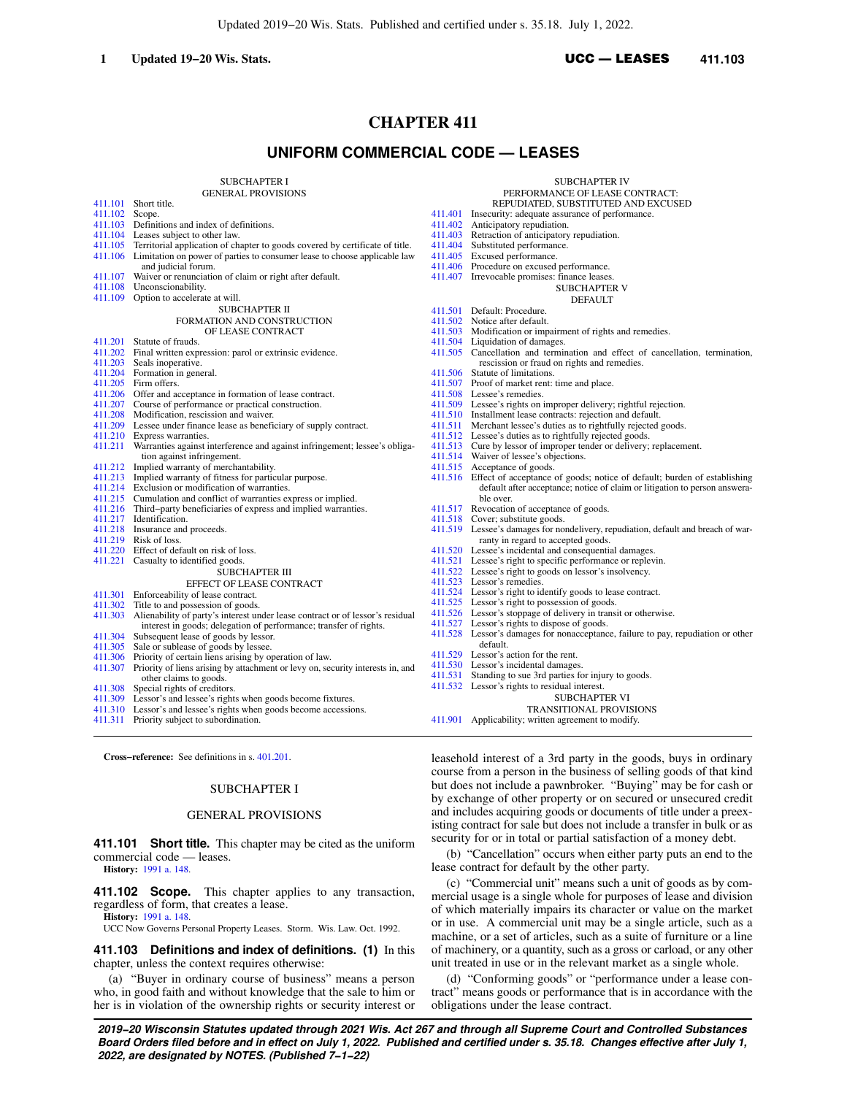# **CHAPTER 411**

# **UNIFORM COMMERCIAL CODE — LEASES**

|                | <b>SUBCHAPTER I</b>                                                                                       | <b>SUBCHAPTER IV</b>                                                                  |
|----------------|-----------------------------------------------------------------------------------------------------------|---------------------------------------------------------------------------------------|
|                | <b>GENERAL PROVISIONS</b>                                                                                 | PERFORMANCE OF LEASE CONTRACT:                                                        |
|                | 411.101 Short title.                                                                                      | REPUDIATED, SUBSTITUTED AND EXCUSED                                                   |
| 411.102 Scope. |                                                                                                           | 411.401 Insecurity: adequate assurance of performance.                                |
|                | 411.103 Definitions and index of definitions.                                                             | 411.402 Anticipatory repudiation.                                                     |
|                | 411.104 Leases subject to other law.                                                                      | 411.403 Retraction of anticipatory repudiation.                                       |
|                | 411.105 Territorial application of chapter to goods covered by certificate of title.                      | 411.404 Substituted performance.                                                      |
|                | 411.106 Limitation on power of parties to consumer lease to choose applicable law                         | 411.405 Excused performance.                                                          |
|                | and judicial forum.                                                                                       | 411.406 Procedure on excused performance.                                             |
|                | 411.107 Waiver or renunciation of claim or right after default.                                           | 411.407 Irrevocable promises: finance leases.                                         |
| 411.108        | Unconscionability.                                                                                        | <b>SUBCHAPTER V</b>                                                                   |
| 411.109        | Option to accelerate at will.                                                                             | <b>DEFAULT</b>                                                                        |
|                | <b>SUBCHAPTER II</b>                                                                                      | 411.501 Default: Procedure.                                                           |
|                | FORMATION AND CONSTRUCTION                                                                                | 411.502 Notice after default.                                                         |
|                | OF LEASE CONTRACT                                                                                         | 411.503 Modification or impairment of rights and remedies.                            |
| 411.201        | Statute of frauds.                                                                                        | 411.504 Liquidation of damages.                                                       |
|                | 411.202 Final written expression: parol or extrinsic evidence.                                            | 411.505 Cancellation and termination and effect of cancellation, termination,         |
|                | 411.203 Seals inoperative.<br>411.204 Formation in general.                                               | rescission or fraud on rights and remedies.<br>411.506 Statute of limitations.        |
|                | 411.205 Firm offers.                                                                                      | 411.507 Proof of market rent: time and place.                                         |
|                | 411.206 Offer and acceptance in formation of lease contract.                                              | 411.508 Lessee's remedies.                                                            |
|                | 411.207 Course of performance or practical construction.                                                  | 411.509 Lessee's rights on improper delivery; rightful rejection.                     |
|                | 411.208 Modification, rescission and waiver.                                                              | 411.510 Installment lease contracts: rejection and default.                           |
|                | 411.209 Lessee under finance lease as beneficiary of supply contract.                                     | 411.511 Merchant lessee's duties as to rightfully rejected goods.                     |
|                | 411.210 Express warranties.                                                                               | 411.512 Lessee's duties as to rightfully rejected goods.                              |
|                | 411.211 Warranties against interference and against infringement; lessee's obliga-                        | 411.513 Cure by lessor of improper tender or delivery; replacement.                   |
|                | tion against infringement.                                                                                | 411.514 Waiver of lessee's objections.                                                |
|                | 411.212 Implied warranty of merchantability.                                                              | 411.515 Acceptance of goods.                                                          |
| 411.213        | Implied warranty of fitness for particular purpose.                                                       | 411.516 Effect of acceptance of goods; notice of default; burden of establishing      |
|                | 411.214 Exclusion or modification of warranties.                                                          | default after acceptance; notice of claim or litigation to person answera-            |
|                | 411.215 Cumulation and conflict of warranties express or implied.                                         | ble over.                                                                             |
|                | 411.216 Third-party beneficiaries of express and implied warranties.                                      | 411.517 Revocation of acceptance of goods.                                            |
|                | 411.217 Identification.                                                                                   | 411.518 Cover; substitute goods.                                                      |
|                | 411.218 Insurance and proceeds.                                                                           | 411.519 Lessee's damages for nondelivery, repudiation, default and breach of war-     |
| 411.219        | Risk of loss.                                                                                             | ranty in regard to accepted goods.                                                    |
| 411.220        | Effect of default on risk of loss.                                                                        | 411.520 Lessee's incidental and consequential damages.                                |
| 411.221        | Casualty to identified goods.                                                                             | 411.521 Lessee's right to specific performance or replevin.                           |
|                | <b>SUBCHAPTER III</b>                                                                                     | 411.522 Lessee's right to goods on lessor's insolvency.<br>411.523 Lessor's remedies. |
|                | EFFECT OF LEASE CONTRACT                                                                                  | 411.524 Lessor's right to identify goods to lease contract.                           |
|                | 411.301 Enforceability of lease contract.                                                                 | 411.525 Lessor's right to possession of goods.                                        |
|                | 411.302 Title to and possession of goods.                                                                 | 411.526 Lessor's stoppage of delivery in transit or otherwise.                        |
|                | 411.303 Alienability of party's interest under lease contract or of lessor's residual                     | 411.527 Lessor's rights to dispose of goods.                                          |
| 411.304        | interest in goods; delegation of performance; transfer of rights.<br>Subsequent lease of goods by lessor. | 411.528 Lessor's damages for nonacceptance, failure to pay, repudiation or other      |
| 411.305        | Sale or sublease of goods by lessee.                                                                      | default.                                                                              |
| 411.306        | Priority of certain liens arising by operation of law.                                                    | 411.529 Lessor's action for the rent.                                                 |
| 411.307        | Priority of liens arising by attachment or levy on, security interests in, and                            | 411.530 Lessor's incidental damages.                                                  |
|                | other claims to goods.                                                                                    | 411.531 Standing to sue 3rd parties for injury to goods.                              |
| 411.308        | Special rights of creditors.                                                                              | 411.532 Lessor's rights to residual interest.                                         |
| 411.309        | Lessor's and lessee's rights when goods become fixtures.                                                  | <b>SUBCHAPTER VI</b>                                                                  |
|                | 411.310 Lessor's and lessee's rights when goods become accessions.                                        | <b>TRANSITIONAL PROVISIONS</b>                                                        |
|                | 411.311 Priority subject to subordination.                                                                | 411.901 Applicability; written agreement to modify.                                   |

**Cross−reference:** See definitions in s. [401.201.](https://docs.legis.wisconsin.gov/document/statutes/401.201)

## SUBCHAPTER I

### GENERAL PROVISIONS

**411.101 Short title.** This chapter may be cited as the uniform commercial code — leases. **History:** [1991 a. 148](https://docs.legis.wisconsin.gov/document/acts/1991/148).

**411.102 Scope.** This chapter applies to any transaction, regardless of form, that creates a lease.

**History:** [1991 a. 148](https://docs.legis.wisconsin.gov/document/acts/1991/148). UCC Now Governs Personal Property Leases. Storm. Wis. Law. Oct. 1992.

**411.103 Definitions and index of definitions. (1)** In this chapter, unless the context requires otherwise:

(a) "Buyer in ordinary course of business" means a person who, in good faith and without knowledge that the sale to him or her is in violation of the ownership rights or security interest or leasehold interest of a 3rd party in the goods, buys in ordinary course from a person in the business of selling goods of that kind but does not include a pawnbroker. "Buying" may be for cash or by exchange of other property or on secured or unsecured credit and includes acquiring goods or documents of title under a preexisting contract for sale but does not include a transfer in bulk or as security for or in total or partial satisfaction of a money debt.

(b) "Cancellation" occurs when either party puts an end to the lease contract for default by the other party.

(c) "Commercial unit" means such a unit of goods as by commercial usage is a single whole for purposes of lease and division of which materially impairs its character or value on the market or in use. A commercial unit may be a single article, such as a machine, or a set of articles, such as a suite of furniture or a line of machinery, or a quantity, such as a gross or carload, or any other unit treated in use or in the relevant market as a single whole.

(d) "Conforming goods" or "performance under a lease contract" means goods or performance that is in accordance with the obligations under the lease contract.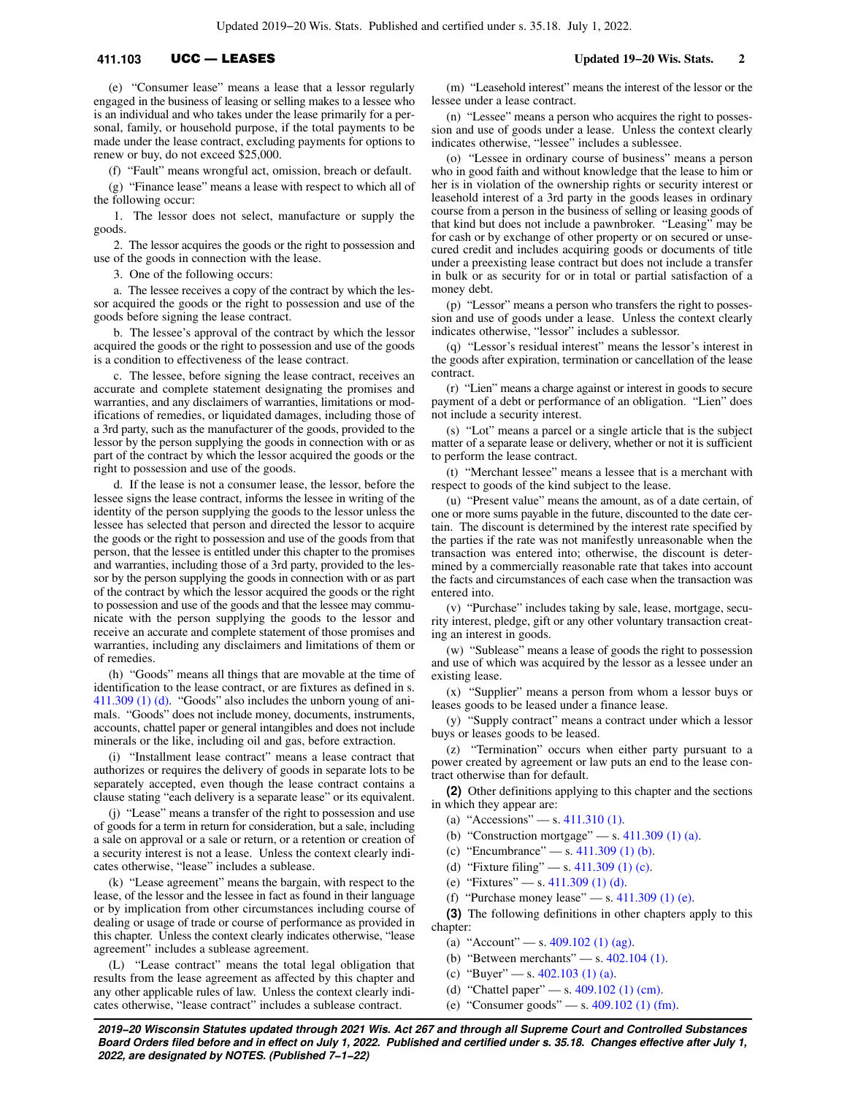## **411.103** UCC — LEASES **Updated 19−20 Wis. Stats. 2**

(e) "Consumer lease" means a lease that a lessor regularly engaged in the business of leasing or selling makes to a lessee who is an individual and who takes under the lease primarily for a personal, family, or household purpose, if the total payments to be made under the lease contract, excluding payments for options to renew or buy, do not exceed \$25,000.

(f) "Fault" means wrongful act, omission, breach or default.

(g) "Finance lease" means a lease with respect to which all of the following occur:

1. The lessor does not select, manufacture or supply the goods.

2. The lessor acquires the goods or the right to possession and use of the goods in connection with the lease.

3. One of the following occurs:

a. The lessee receives a copy of the contract by which the lessor acquired the goods or the right to possession and use of the goods before signing the lease contract.

b. The lessee's approval of the contract by which the lessor acquired the goods or the right to possession and use of the goods is a condition to effectiveness of the lease contract.

c. The lessee, before signing the lease contract, receives an accurate and complete statement designating the promises and warranties, and any disclaimers of warranties, limitations or modifications of remedies, or liquidated damages, including those of a 3rd party, such as the manufacturer of the goods, provided to the lessor by the person supplying the goods in connection with or as part of the contract by which the lessor acquired the goods or the right to possession and use of the goods.

d. If the lease is not a consumer lease, the lessor, before the lessee signs the lease contract, informs the lessee in writing of the identity of the person supplying the goods to the lessor unless the lessee has selected that person and directed the lessor to acquire the goods or the right to possession and use of the goods from that person, that the lessee is entitled under this chapter to the promises and warranties, including those of a 3rd party, provided to the lessor by the person supplying the goods in connection with or as part of the contract by which the lessor acquired the goods or the right to possession and use of the goods and that the lessee may communicate with the person supplying the goods to the lessor and receive an accurate and complete statement of those promises and warranties, including any disclaimers and limitations of them or of remedies.

(h) "Goods" means all things that are movable at the time of identification to the lease contract, or are fixtures as defined in s. [411.309 \(1\) \(d\)](https://docs.legis.wisconsin.gov/document/statutes/411.309(1)(d)). "Goods" also includes the unborn young of animals. "Goods" does not include money, documents, instruments, accounts, chattel paper or general intangibles and does not include minerals or the like, including oil and gas, before extraction.

(i) "Installment lease contract" means a lease contract that authorizes or requires the delivery of goods in separate lots to be separately accepted, even though the lease contract contains a clause stating "each delivery is a separate lease" or its equivalent.

(j) "Lease" means a transfer of the right to possession and use of goods for a term in return for consideration, but a sale, including a sale on approval or a sale or return, or a retention or creation of a security interest is not a lease. Unless the context clearly indicates otherwise, "lease" includes a sublease.

(k) "Lease agreement" means the bargain, with respect to the lease, of the lessor and the lessee in fact as found in their language or by implication from other circumstances including course of dealing or usage of trade or course of performance as provided in this chapter. Unless the context clearly indicates otherwise, "lease agreement" includes a sublease agreement.

(L) "Lease contract" means the total legal obligation that results from the lease agreement as affected by this chapter and any other applicable rules of law. Unless the context clearly indicates otherwise, "lease contract" includes a sublease contract.

(m) "Leasehold interest" means the interest of the lessor or the lessee under a lease contract.

(n) "Lessee" means a person who acquires the right to possession and use of goods under a lease. Unless the context clearly indicates otherwise, "lessee" includes a sublessee.

(o) "Lessee in ordinary course of business" means a person who in good faith and without knowledge that the lease to him or her is in violation of the ownership rights or security interest or leasehold interest of a 3rd party in the goods leases in ordinary course from a person in the business of selling or leasing goods of that kind but does not include a pawnbroker. "Leasing" may be for cash or by exchange of other property or on secured or unsecured credit and includes acquiring goods or documents of title under a preexisting lease contract but does not include a transfer in bulk or as security for or in total or partial satisfaction of a money debt.

(p) "Lessor" means a person who transfers the right to possession and use of goods under a lease. Unless the context clearly indicates otherwise, "lessor" includes a sublessor.

(q) "Lessor's residual interest" means the lessor's interest in the goods after expiration, termination or cancellation of the lease contract.

(r) "Lien" means a charge against or interest in goods to secure payment of a debt or performance of an obligation. "Lien" does not include a security interest.

(s) "Lot" means a parcel or a single article that is the subject matter of a separate lease or delivery, whether or not it is sufficient to perform the lease contract.

(t) "Merchant lessee" means a lessee that is a merchant with respect to goods of the kind subject to the lease.

(u) "Present value" means the amount, as of a date certain, of one or more sums payable in the future, discounted to the date certain. The discount is determined by the interest rate specified by the parties if the rate was not manifestly unreasonable when the transaction was entered into; otherwise, the discount is determined by a commercially reasonable rate that takes into account the facts and circumstances of each case when the transaction was entered into.

(v) "Purchase" includes taking by sale, lease, mortgage, security interest, pledge, gift or any other voluntary transaction creating an interest in goods.

(w) "Sublease" means a lease of goods the right to possession and use of which was acquired by the lessor as a lessee under an existing lease.

(x) "Supplier" means a person from whom a lessor buys or leases goods to be leased under a finance lease.

(y) "Supply contract" means a contract under which a lessor buys or leases goods to be leased.

(z) "Termination" occurs when either party pursuant to a power created by agreement or law puts an end to the lease contract otherwise than for default.

**(2)** Other definitions applying to this chapter and the sections in which they appear are:

- (a) "Accessions" s. [411.310 \(1\).](https://docs.legis.wisconsin.gov/document/statutes/411.310(1))
- (b) "Construction mortgage" s.  $411.309$  (1) (a).
- (c) "Encumbrance" s. [411.309 \(1\) \(b\).](https://docs.legis.wisconsin.gov/document/statutes/411.309(1)(b))
- (d) "Fixture filing" s. [411.309 \(1\) \(c\).](https://docs.legis.wisconsin.gov/document/statutes/411.309(1)(c))
- (e) "Fixtures" s. [411.309 \(1\) \(d\)](https://docs.legis.wisconsin.gov/document/statutes/411.309(1)(d)).
- (f) "Purchase money lease" s.  $411.309$  (1) (e).

**(3)** The following definitions in other chapters apply to this chapter:

- (a) "Account" s. [409.102 \(1\) \(ag\).](https://docs.legis.wisconsin.gov/document/statutes/409.102(1)(ag))
- (b) "Between merchants" s. [402.104 \(1\).](https://docs.legis.wisconsin.gov/document/statutes/402.104(1))
- (c) "Buyer" s.  $402.103$  (1) (a).
- (d) "Chattel paper" s.  $409.102$  (1) (cm).
- (e) "Consumer goods" s. [409.102 \(1\) \(fm\).](https://docs.legis.wisconsin.gov/document/statutes/409.102(1)(fm))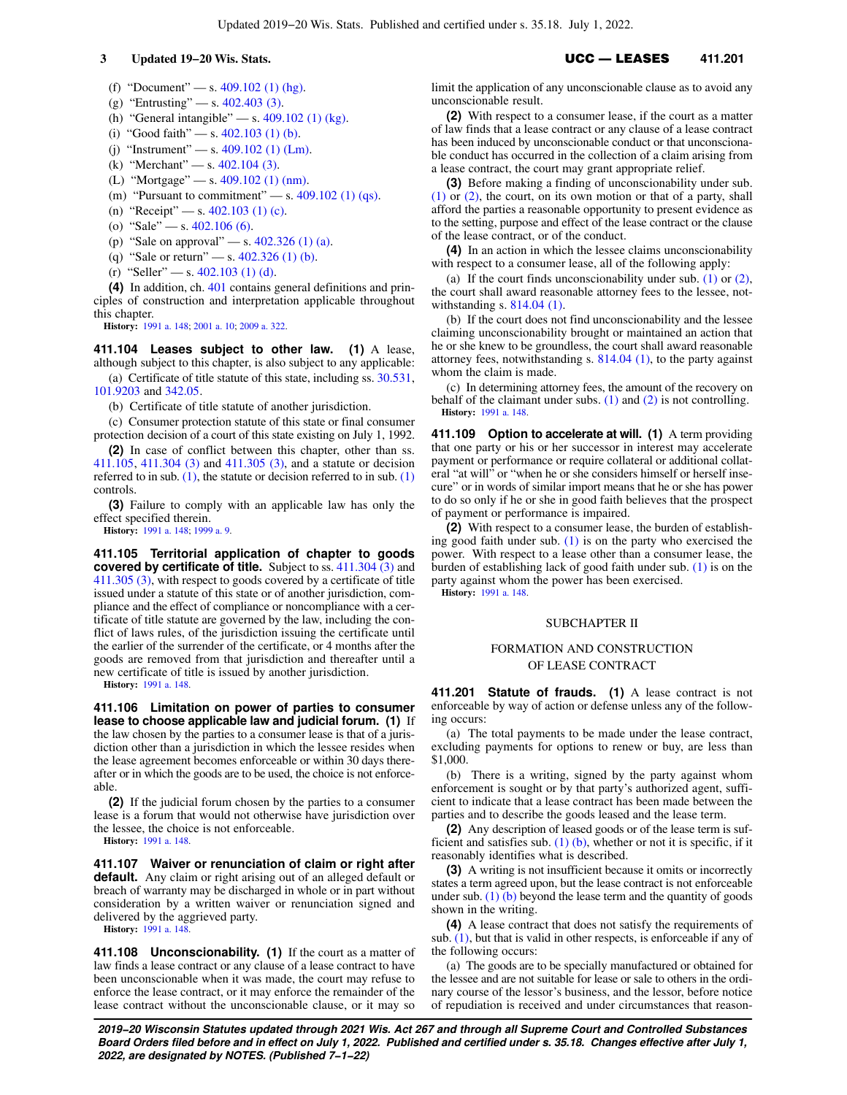**3 Updated 19−20 Wis. Stats. 2012 UCC — LEASES** 411.201

- (f) "Document" s.  $409.102$  (1) (hg).
- (g) "Entrusting" s.  $402.403$  (3).
- (h) "General intangible" s.  $409.102$  (1) (kg).
- (i) "Good faith" s.  $402.103$  (1) (b).
- (i) "Instrument" s.  $409.102$  (1) (Lm).
- (k) "Merchant" s. [402.104 \(3\)](https://docs.legis.wisconsin.gov/document/statutes/402.104(3)).
- (L) "Mortgage" s. [409.102 \(1\) \(nm\).](https://docs.legis.wisconsin.gov/document/statutes/409.102(1)(nm))
- (m) "Pursuant to commitment"  $-$  s. [409.102 \(1\) \(qs\)](https://docs.legis.wisconsin.gov/document/statutes/409.102(1)(qs)).
- (n) "Receipt" s.  $402.103$  (1) (c).
- (o) "Sale" s.  $402.106$  (6).
- (p) "Sale on approval" s. [402.326 \(1\) \(a\).](https://docs.legis.wisconsin.gov/document/statutes/402.326(1)(a))
- (q) "Sale or return" s. [402.326 \(1\) \(b\).](https://docs.legis.wisconsin.gov/document/statutes/402.326(1)(b))
- (r) "Seller" s.  $402.103$  (1) (d).

**(4)** In addition, ch. [401](https://docs.legis.wisconsin.gov/document/statutes/ch.%20401) contains general definitions and principles of construction and interpretation applicable throughout this chapter.

**History:** [1991 a. 148](https://docs.legis.wisconsin.gov/document/acts/1991/148); [2001 a. 10;](https://docs.legis.wisconsin.gov/document/acts/2001/10) [2009 a. 322](https://docs.legis.wisconsin.gov/document/acts/2009/322).

**411.104 Leases subject to other law. (1)** A lease, although subject to this chapter, is also subject to any applicable:

(a) Certificate of title statute of this state, including ss. [30.531,](https://docs.legis.wisconsin.gov/document/statutes/30.531) [101.9203](https://docs.legis.wisconsin.gov/document/statutes/101.9203) and [342.05](https://docs.legis.wisconsin.gov/document/statutes/342.05).

(b) Certificate of title statute of another jurisdiction.

(c) Consumer protection statute of this state or final consumer protection decision of a court of this state existing on July 1, 1992.

**(2)** In case of conflict between this chapter, other than ss. [411.105,](https://docs.legis.wisconsin.gov/document/statutes/411.105) [411.304 \(3\)](https://docs.legis.wisconsin.gov/document/statutes/411.304(3)) and [411.305 \(3\),](https://docs.legis.wisconsin.gov/document/statutes/411.305(3)) and a statute or decision referred to in sub.  $(1)$ , the statute or decision referred to in sub.  $(1)$ controls.

**(3)** Failure to comply with an applicable law has only the effect specified therein.

**History:** [1991 a. 148](https://docs.legis.wisconsin.gov/document/acts/1991/148); [1999 a. 9.](https://docs.legis.wisconsin.gov/document/acts/1999/9)

**411.105 Territorial application of chapter to goods covered by certificate of title.** Subject to ss. [411.304 \(3\)](https://docs.legis.wisconsin.gov/document/statutes/411.304(3)) and [411.305 \(3\)](https://docs.legis.wisconsin.gov/document/statutes/411.305(3)), with respect to goods covered by a certificate of title issued under a statute of this state or of another jurisdiction, compliance and the effect of compliance or noncompliance with a certificate of title statute are governed by the law, including the conflict of laws rules, of the jurisdiction issuing the certificate until the earlier of the surrender of the certificate, or 4 months after the goods are removed from that jurisdiction and thereafter until a new certificate of title is issued by another jurisdiction.

**History:** [1991 a. 148](https://docs.legis.wisconsin.gov/document/acts/1991/148).

**411.106 Limitation on power of parties to consumer lease to choose applicable law and judicial forum. (1)** If the law chosen by the parties to a consumer lease is that of a jurisdiction other than a jurisdiction in which the lessee resides when the lease agreement becomes enforceable or within 30 days thereafter or in which the goods are to be used, the choice is not enforceable.

**(2)** If the judicial forum chosen by the parties to a consumer lease is a forum that would not otherwise have jurisdiction over the lessee, the choice is not enforceable.

**History:** [1991 a. 148](https://docs.legis.wisconsin.gov/document/acts/1991/148).

**411.107 Waiver or renunciation of claim or right after default.** Any claim or right arising out of an alleged default or breach of warranty may be discharged in whole or in part without consideration by a written waiver or renunciation signed and delivered by the aggrieved party.

**History:** [1991 a. 148](https://docs.legis.wisconsin.gov/document/acts/1991/148).

**411.108 Unconscionability. (1)** If the court as a matter of law finds a lease contract or any clause of a lease contract to have been unconscionable when it was made, the court may refuse to enforce the lease contract, or it may enforce the remainder of the lease contract without the unconscionable clause, or it may so limit the application of any unconscionable clause as to avoid any unconscionable result.

**(2)** With respect to a consumer lease, if the court as a matter of law finds that a lease contract or any clause of a lease contract has been induced by unconscionable conduct or that unconscionable conduct has occurred in the collection of a claim arising from a lease contract, the court may grant appropriate relief.

**(3)** Before making a finding of unconscionability under sub. [\(1\)](https://docs.legis.wisconsin.gov/document/statutes/411.108(1)) or [\(2\)](https://docs.legis.wisconsin.gov/document/statutes/411.108(2)), the court, on its own motion or that of a party, shall afford the parties a reasonable opportunity to present evidence as to the setting, purpose and effect of the lease contract or the clause of the lease contract, or of the conduct.

**(4)** In an action in which the lessee claims unconscionability with respect to a consumer lease, all of the following apply:

(a) If the court finds unconscionability under sub.  $(1)$  or  $(2)$ , the court shall award reasonable attorney fees to the lessee, notwithstanding s. [814.04 \(1\).](https://docs.legis.wisconsin.gov/document/statutes/814.04(1))

(b) If the court does not find unconscionability and the lessee claiming unconscionability brought or maintained an action that he or she knew to be groundless, the court shall award reasonable attorney fees, notwithstanding s. [814.04 \(1\)](https://docs.legis.wisconsin.gov/document/statutes/814.04(1)), to the party against whom the claim is made.

(c) In determining attorney fees, the amount of the recovery on behalf of the claimant under subs. [\(1\)](https://docs.legis.wisconsin.gov/document/statutes/411.108(1)) and [\(2\)](https://docs.legis.wisconsin.gov/document/statutes/411.108(2)) is not controlling. **History:** [1991 a. 148.](https://docs.legis.wisconsin.gov/document/acts/1991/148)

**411.109 Option to accelerate at will. (1)** A term providing that one party or his or her successor in interest may accelerate payment or performance or require collateral or additional collateral "at will" or "when he or she considers himself or herself insecure" or in words of similar import means that he or she has power to do so only if he or she in good faith believes that the prospect of payment or performance is impaired.

**(2)** With respect to a consumer lease, the burden of establishing good faith under sub. [\(1\)](https://docs.legis.wisconsin.gov/document/statutes/411.109(1)) is on the party who exercised the power. With respect to a lease other than a consumer lease, the burden of establishing lack of good faith under sub. [\(1\)](https://docs.legis.wisconsin.gov/document/statutes/411.109(1)) is on the party against whom the power has been exercised. **History:** [1991 a. 148.](https://docs.legis.wisconsin.gov/document/acts/1991/148)

# SUBCHAPTER II

## FORMATION AND CONSTRUCTION OF LEASE CONTRACT

**411.201 Statute of frauds. (1)** A lease contract is not enforceable by way of action or defense unless any of the following occurs:

(a) The total payments to be made under the lease contract, excluding payments for options to renew or buy, are less than \$1,000.

(b) There is a writing, signed by the party against whom enforcement is sought or by that party's authorized agent, sufficient to indicate that a lease contract has been made between the parties and to describe the goods leased and the lease term.

**(2)** Any description of leased goods or of the lease term is sufficient and satisfies sub.  $(1)$  (b), whether or not it is specific, if it reasonably identifies what is described.

**(3)** A writing is not insufficient because it omits or incorrectly states a term agreed upon, but the lease contract is not enforceable under sub.  $(1)$  (b) beyond the lease term and the quantity of goods shown in the writing.

**(4)** A lease contract that does not satisfy the requirements of sub. [\(1\)](https://docs.legis.wisconsin.gov/document/statutes/411.201(1)), but that is valid in other respects, is enforceable if any of the following occurs:

(a) The goods are to be specially manufactured or obtained for the lessee and are not suitable for lease or sale to others in the ordinary course of the lessor's business, and the lessor, before notice of repudiation is received and under circumstances that reason-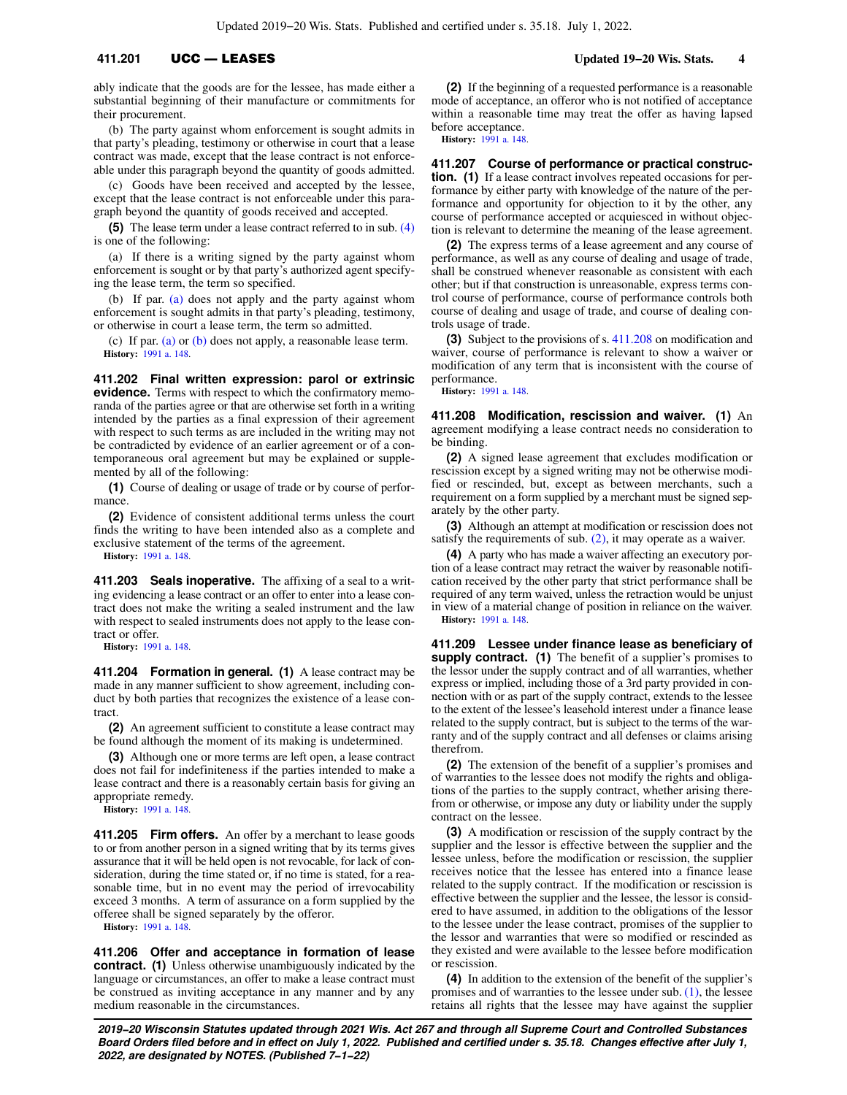## **411.201** UCC — LEASES **Updated 19−20 Wis. Stats. 4**

ably indicate that the goods are for the lessee, has made either a substantial beginning of their manufacture or commitments for their procurement.

(b) The party against whom enforcement is sought admits in that party's pleading, testimony or otherwise in court that a lease contract was made, except that the lease contract is not enforceable under this paragraph beyond the quantity of goods admitted.

(c) Goods have been received and accepted by the lessee, except that the lease contract is not enforceable under this paragraph beyond the quantity of goods received and accepted.

**(5)** The lease term under a lease contract referred to in sub. [\(4\)](https://docs.legis.wisconsin.gov/document/statutes/411.201(4)) is one of the following:

(a) If there is a writing signed by the party against whom enforcement is sought or by that party's authorized agent specifying the lease term, the term so specified.

(b) If par. [\(a\)](https://docs.legis.wisconsin.gov/document/statutes/411.201(5)(a)) does not apply and the party against whom enforcement is sought admits in that party's pleading, testimony, or otherwise in court a lease term, the term so admitted.

(c) If par. [\(a\)](https://docs.legis.wisconsin.gov/document/statutes/411.201(5)(a)) or [\(b\)](https://docs.legis.wisconsin.gov/document/statutes/411.201(5)(b)) does not apply, a reasonable lease term. **History:** [1991 a. 148](https://docs.legis.wisconsin.gov/document/acts/1991/148).

**411.202 Final written expression: parol or extrinsic evidence.** Terms with respect to which the confirmatory memoranda of the parties agree or that are otherwise set forth in a writing intended by the parties as a final expression of their agreement with respect to such terms as are included in the writing may not be contradicted by evidence of an earlier agreement or of a contemporaneous oral agreement but may be explained or supplemented by all of the following:

**(1)** Course of dealing or usage of trade or by course of performance.

**(2)** Evidence of consistent additional terms unless the court finds the writing to have been intended also as a complete and exclusive statement of the terms of the agreement.

**History:** [1991 a. 148](https://docs.legis.wisconsin.gov/document/acts/1991/148).

**411.203 Seals inoperative.** The affixing of a seal to a writing evidencing a lease contract or an offer to enter into a lease contract does not make the writing a sealed instrument and the law with respect to sealed instruments does not apply to the lease contract or offer.

**History:** [1991 a. 148](https://docs.legis.wisconsin.gov/document/acts/1991/148).

**411.204 Formation in general. (1)** A lease contract may be made in any manner sufficient to show agreement, including conduct by both parties that recognizes the existence of a lease contract.

**(2)** An agreement sufficient to constitute a lease contract may be found although the moment of its making is undetermined.

**(3)** Although one or more terms are left open, a lease contract does not fail for indefiniteness if the parties intended to make a lease contract and there is a reasonably certain basis for giving an appropriate remedy.

**History:** [1991 a. 148](https://docs.legis.wisconsin.gov/document/acts/1991/148).

**411.205 Firm offers.** An offer by a merchant to lease goods to or from another person in a signed writing that by its terms gives assurance that it will be held open is not revocable, for lack of consideration, during the time stated or, if no time is stated, for a reasonable time, but in no event may the period of irrevocability exceed 3 months. A term of assurance on a form supplied by the offeree shall be signed separately by the offeror.

**History:** [1991 a. 148](https://docs.legis.wisconsin.gov/document/acts/1991/148).

**411.206 Offer and acceptance in formation of lease contract. (1)** Unless otherwise unambiguously indicated by the language or circumstances, an offer to make a lease contract must be construed as inviting acceptance in any manner and by any medium reasonable in the circumstances.

**(2)** If the beginning of a requested performance is a reasonable mode of acceptance, an offeror who is not notified of acceptance within a reasonable time may treat the offer as having lapsed before acceptance.

**History:** [1991 a. 148.](https://docs.legis.wisconsin.gov/document/acts/1991/148)

**411.207 Course of performance or practical construction. (1)** If a lease contract involves repeated occasions for performance by either party with knowledge of the nature of the performance and opportunity for objection to it by the other, any course of performance accepted or acquiesced in without objection is relevant to determine the meaning of the lease agreement.

**(2)** The express terms of a lease agreement and any course of performance, as well as any course of dealing and usage of trade, shall be construed whenever reasonable as consistent with each other; but if that construction is unreasonable, express terms control course of performance, course of performance controls both course of dealing and usage of trade, and course of dealing controls usage of trade.

**(3)** Subject to the provisions of s. [411.208](https://docs.legis.wisconsin.gov/document/statutes/411.208) on modification and waiver, course of performance is relevant to show a waiver or modification of any term that is inconsistent with the course of performance.

**History:** [1991 a. 148.](https://docs.legis.wisconsin.gov/document/acts/1991/148)

**411.208 Modification, rescission and waiver. (1)** An agreement modifying a lease contract needs no consideration to be binding.

**(2)** A signed lease agreement that excludes modification or rescission except by a signed writing may not be otherwise modified or rescinded, but, except as between merchants, such a requirement on a form supplied by a merchant must be signed separately by the other party.

**(3)** Although an attempt at modification or rescission does not satisfy the requirements of sub. [\(2\)](https://docs.legis.wisconsin.gov/document/statutes/411.208(2)), it may operate as a waiver.

**(4)** A party who has made a waiver affecting an executory portion of a lease contract may retract the waiver by reasonable notification received by the other party that strict performance shall be required of any term waived, unless the retraction would be unjust in view of a material change of position in reliance on the waiver. **History:** [1991 a. 148.](https://docs.legis.wisconsin.gov/document/acts/1991/148)

**411.209 Lessee under finance lease as beneficiary of supply contract.** (1) The benefit of a supplier's promises to the lessor under the supply contract and of all warranties, whether express or implied, including those of a 3rd party provided in connection with or as part of the supply contract, extends to the lessee to the extent of the lessee's leasehold interest under a finance lease related to the supply contract, but is subject to the terms of the warranty and of the supply contract and all defenses or claims arising therefrom.

**(2)** The extension of the benefit of a supplier's promises and of warranties to the lessee does not modify the rights and obligations of the parties to the supply contract, whether arising therefrom or otherwise, or impose any duty or liability under the supply contract on the lessee.

**(3)** A modification or rescission of the supply contract by the supplier and the lessor is effective between the supplier and the lessee unless, before the modification or rescission, the supplier receives notice that the lessee has entered into a finance lease related to the supply contract. If the modification or rescission is effective between the supplier and the lessee, the lessor is considered to have assumed, in addition to the obligations of the lessor to the lessee under the lease contract, promises of the supplier to the lessor and warranties that were so modified or rescinded as they existed and were available to the lessee before modification or rescission.

**(4)** In addition to the extension of the benefit of the supplier's promises and of warranties to the lessee under sub. [\(1\),](https://docs.legis.wisconsin.gov/document/statutes/411.209(1)) the lessee retains all rights that the lessee may have against the supplier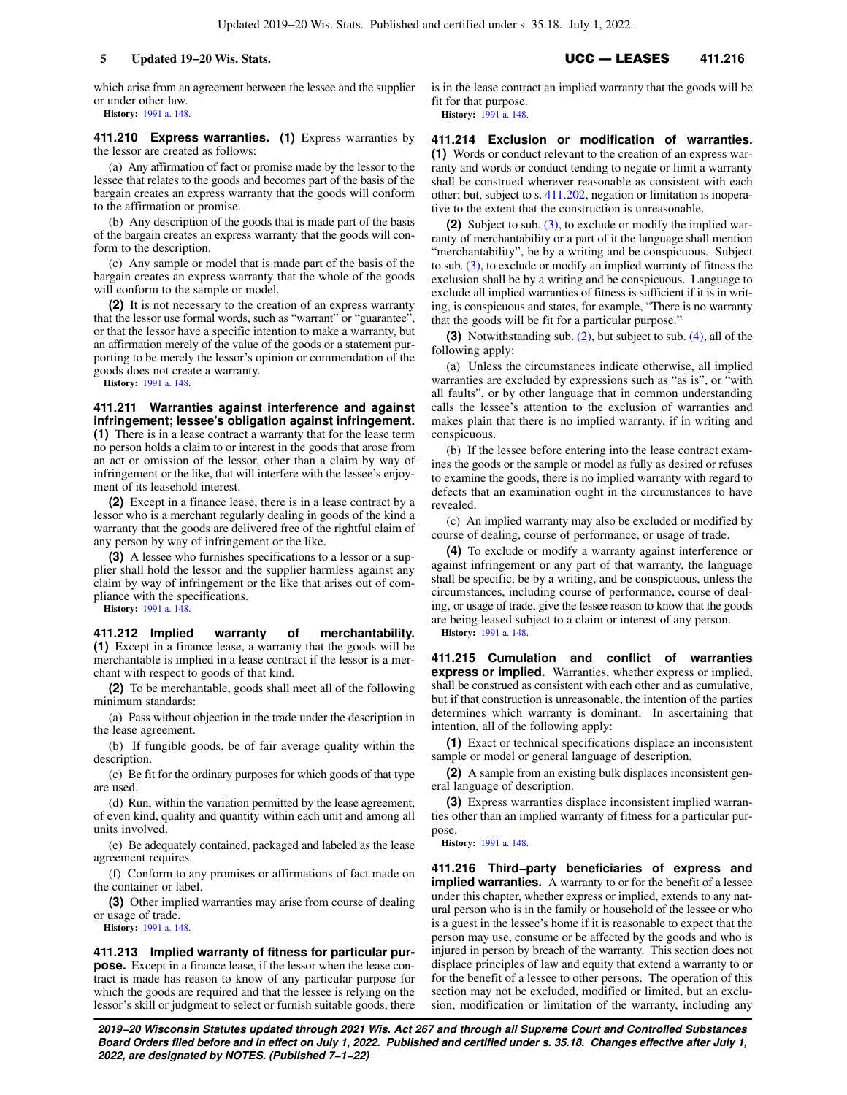## **5 Updated 19−20 Wis. Stats. CO 11.216 UCC — LEASES** 411.216

which arise from an agreement between the lessee and the supplier or under other law.

**History:** [1991 a. 148](https://docs.legis.wisconsin.gov/document/acts/1991/148).

**411.210 Express warranties. (1)** Express warranties by the lessor are created as follows:

(a) Any affirmation of fact or promise made by the lessor to the lessee that relates to the goods and becomes part of the basis of the bargain creates an express warranty that the goods will conform to the affirmation or promise.

(b) Any description of the goods that is made part of the basis of the bargain creates an express warranty that the goods will conform to the description.

(c) Any sample or model that is made part of the basis of the bargain creates an express warranty that the whole of the goods will conform to the sample or model.

**(2)** It is not necessary to the creation of an express warranty that the lessor use formal words, such as "warrant" or "guarantee", or that the lessor have a specific intention to make a warranty, but an affirmation merely of the value of the goods or a statement purporting to be merely the lessor's opinion or commendation of the goods does not create a warranty.

**History:** [1991 a. 148](https://docs.legis.wisconsin.gov/document/acts/1991/148).

**411.211 Warranties against interference and against infringement; lessee's obligation against infringement. (1)** There is in a lease contract a warranty that for the lease term

no person holds a claim to or interest in the goods that arose from an act or omission of the lessor, other than a claim by way of infringement or the like, that will interfere with the lessee's enjoyment of its leasehold interest.

**(2)** Except in a finance lease, there is in a lease contract by a lessor who is a merchant regularly dealing in goods of the kind a warranty that the goods are delivered free of the rightful claim of any person by way of infringement or the like.

**(3)** A lessee who furnishes specifications to a lessor or a supplier shall hold the lessor and the supplier harmless against any claim by way of infringement or the like that arises out of compliance with the specifications.

**History:** [1991 a. 148](https://docs.legis.wisconsin.gov/document/acts/1991/148).

**411.212 Implied warranty of merchantability. (1)** Except in a finance lease, a warranty that the goods will be merchantable is implied in a lease contract if the lessor is a merchant with respect to goods of that kind.

**(2)** To be merchantable, goods shall meet all of the following minimum standards:

(a) Pass without objection in the trade under the description in the lease agreement.

(b) If fungible goods, be of fair average quality within the description.

(c) Be fit for the ordinary purposes for which goods of that type are used.

(d) Run, within the variation permitted by the lease agreement, of even kind, quality and quantity within each unit and among all units involved.

(e) Be adequately contained, packaged and labeled as the lease agreement requires.

(f) Conform to any promises or affirmations of fact made on the container or label.

**(3)** Other implied warranties may arise from course of dealing or usage of trade.

**History:** [1991 a. 148](https://docs.legis.wisconsin.gov/document/acts/1991/148).

**411.213 Implied warranty of fitness for particular purpose.** Except in a finance lease, if the lessor when the lease contract is made has reason to know of any particular purpose for which the goods are required and that the lessee is relying on the lessor's skill or judgment to select or furnish suitable goods, there is in the lease contract an implied warranty that the goods will be fit for that purpose. **History:** [1991 a. 148.](https://docs.legis.wisconsin.gov/document/acts/1991/148)

**411.214 Exclusion or modification of warranties. (1)** Words or conduct relevant to the creation of an express warranty and words or conduct tending to negate or limit a warranty shall be construed wherever reasonable as consistent with each other; but, subject to s. [411.202](https://docs.legis.wisconsin.gov/document/statutes/411.202), negation or limitation is inoperative to the extent that the construction is unreasonable.

**(2)** Subject to sub. [\(3\),](https://docs.legis.wisconsin.gov/document/statutes/411.214(3)) to exclude or modify the implied warranty of merchantability or a part of it the language shall mention "merchantability", be by a writing and be conspicuous. Subject to sub. [\(3\)](https://docs.legis.wisconsin.gov/document/statutes/411.214(3)), to exclude or modify an implied warranty of fitness the exclusion shall be by a writing and be conspicuous. Language to exclude all implied warranties of fitness is sufficient if it is in writing, is conspicuous and states, for example, "There is no warranty that the goods will be fit for a particular purpose."

**(3)** Notwithstanding sub. [\(2\),](https://docs.legis.wisconsin.gov/document/statutes/411.214(2)) but subject to sub. [\(4\),](https://docs.legis.wisconsin.gov/document/statutes/411.214(4)) all of the following apply:

(a) Unless the circumstances indicate otherwise, all implied warranties are excluded by expressions such as "as is", or "with all faults", or by other language that in common understanding calls the lessee's attention to the exclusion of warranties and makes plain that there is no implied warranty, if in writing and conspicuous.

(b) If the lessee before entering into the lease contract examines the goods or the sample or model as fully as desired or refuses to examine the goods, there is no implied warranty with regard to defects that an examination ought in the circumstances to have revealed.

(c) An implied warranty may also be excluded or modified by course of dealing, course of performance, or usage of trade.

**(4)** To exclude or modify a warranty against interference or against infringement or any part of that warranty, the language shall be specific, be by a writing, and be conspicuous, unless the circumstances, including course of performance, course of dealing, or usage of trade, give the lessee reason to know that the goods are being leased subject to a claim or interest of any person. **History:** [1991 a. 148.](https://docs.legis.wisconsin.gov/document/acts/1991/148)

**411.215 Cumulation and conflict of warranties express or implied.** Warranties, whether express or implied, shall be construed as consistent with each other and as cumulative, but if that construction is unreasonable, the intention of the parties determines which warranty is dominant. In ascertaining that intention, all of the following apply:

**(1)** Exact or technical specifications displace an inconsistent sample or model or general language of description.

**(2)** A sample from an existing bulk displaces inconsistent general language of description.

**(3)** Express warranties displace inconsistent implied warranties other than an implied warranty of fitness for a particular purpose.

**History:** [1991 a. 148.](https://docs.legis.wisconsin.gov/document/acts/1991/148)

**411.216 Third−party beneficiaries of express and implied warranties.** A warranty to or for the benefit of a lessee under this chapter, whether express or implied, extends to any natural person who is in the family or household of the lessee or who is a guest in the lessee's home if it is reasonable to expect that the person may use, consume or be affected by the goods and who is injured in person by breach of the warranty. This section does not displace principles of law and equity that extend a warranty to or for the benefit of a lessee to other persons. The operation of this section may not be excluded, modified or limited, but an exclusion, modification or limitation of the warranty, including any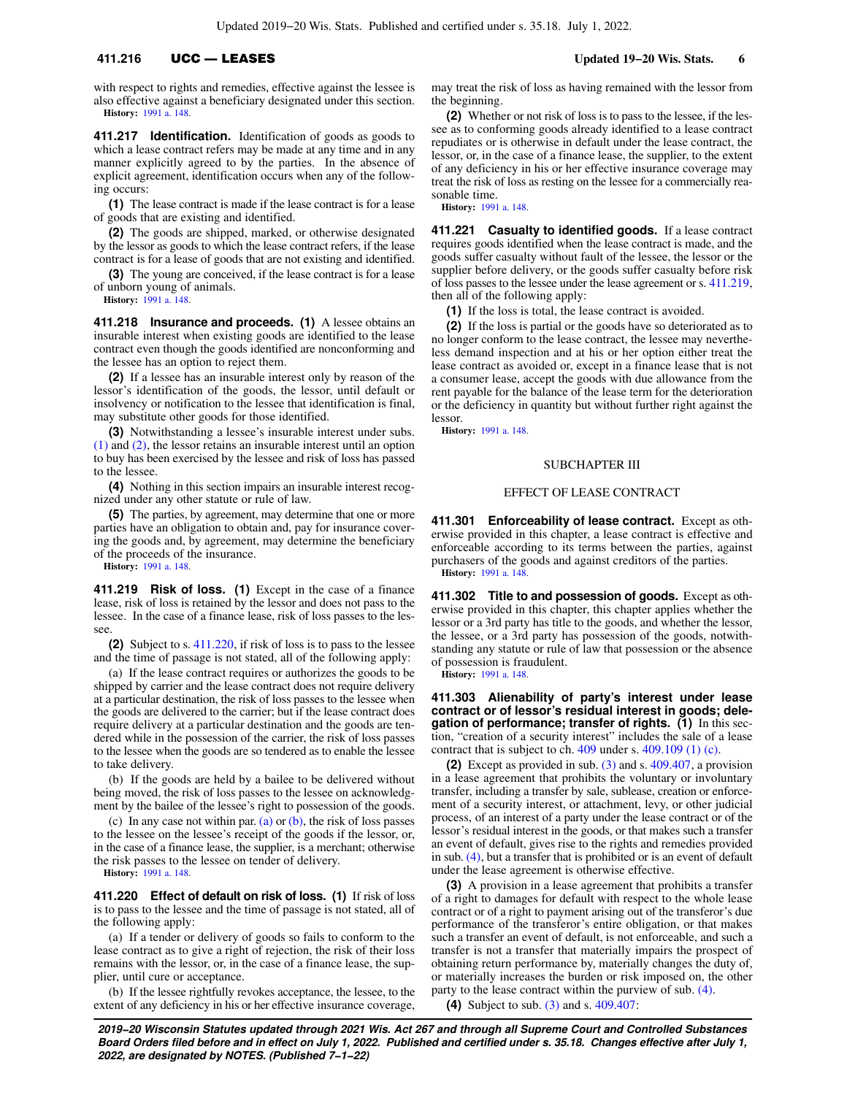## **411.216** UCC — LEASES **Updated 19−20 Wis. Stats. 6**

with respect to rights and remedies, effective against the lessee is also effective against a beneficiary designated under this section. **History:** [1991 a. 148](https://docs.legis.wisconsin.gov/document/acts/1991/148).

**411.217 Identification.** Identification of goods as goods to which a lease contract refers may be made at any time and in any manner explicitly agreed to by the parties. In the absence of explicit agreement, identification occurs when any of the following occurs:

**(1)** The lease contract is made if the lease contract is for a lease of goods that are existing and identified.

**(2)** The goods are shipped, marked, or otherwise designated by the lessor as goods to which the lease contract refers, if the lease contract is for a lease of goods that are not existing and identified.

**(3)** The young are conceived, if the lease contract is for a lease of unborn young of animals.

**History:** [1991 a. 148](https://docs.legis.wisconsin.gov/document/acts/1991/148).

**411.218 Insurance and proceeds. (1)** A lessee obtains an insurable interest when existing goods are identified to the lease contract even though the goods identified are nonconforming and the lessee has an option to reject them.

**(2)** If a lessee has an insurable interest only by reason of the lessor's identification of the goods, the lessor, until default or insolvency or notification to the lessee that identification is final, may substitute other goods for those identified.

**(3)** Notwithstanding a lessee's insurable interest under subs. [\(1\)](https://docs.legis.wisconsin.gov/document/statutes/411.218(1)) and [\(2\)](https://docs.legis.wisconsin.gov/document/statutes/411.218(2)), the lessor retains an insurable interest until an option to buy has been exercised by the lessee and risk of loss has passed to the lessee.

**(4)** Nothing in this section impairs an insurable interest recognized under any other statute or rule of law.

**(5)** The parties, by agreement, may determine that one or more parties have an obligation to obtain and, pay for insurance covering the goods and, by agreement, may determine the beneficiary of the proceeds of the insurance.

**History:** [1991 a. 148](https://docs.legis.wisconsin.gov/document/acts/1991/148).

**411.219 Risk of loss. (1)** Except in the case of a finance lease, risk of loss is retained by the lessor and does not pass to the lessee. In the case of a finance lease, risk of loss passes to the lessee.

**(2)** Subject to s. [411.220](https://docs.legis.wisconsin.gov/document/statutes/411.220), if risk of loss is to pass to the lessee and the time of passage is not stated, all of the following apply:

(a) If the lease contract requires or authorizes the goods to be shipped by carrier and the lease contract does not require delivery at a particular destination, the risk of loss passes to the lessee when the goods are delivered to the carrier; but if the lease contract does require delivery at a particular destination and the goods are tendered while in the possession of the carrier, the risk of loss passes to the lessee when the goods are so tendered as to enable the lessee to take delivery.

(b) If the goods are held by a bailee to be delivered without being moved, the risk of loss passes to the lessee on acknowledgment by the bailee of the lessee's right to possession of the goods.

(c) In any case not within par. [\(a\)](https://docs.legis.wisconsin.gov/document/statutes/411.219(2)(a)) or  $(b)$ , the risk of loss passes to the lessee on the lessee's receipt of the goods if the lessor, or, in the case of a finance lease, the supplier, is a merchant; otherwise the risk passes to the lessee on tender of delivery.

**History:** [1991 a. 148](https://docs.legis.wisconsin.gov/document/acts/1991/148).

**411.220 Effect of default on risk of loss. (1)** If risk of loss is to pass to the lessee and the time of passage is not stated, all of the following apply:

(a) If a tender or delivery of goods so fails to conform to the lease contract as to give a right of rejection, the risk of their loss remains with the lessor, or, in the case of a finance lease, the supplier, until cure or acceptance.

(b) If the lessee rightfully revokes acceptance, the lessee, to the extent of any deficiency in his or her effective insurance coverage,

may treat the risk of loss as having remained with the lessor from the beginning.

**(2)** Whether or not risk of loss is to pass to the lessee, if the lessee as to conforming goods already identified to a lease contract repudiates or is otherwise in default under the lease contract, the lessor, or, in the case of a finance lease, the supplier, to the extent of any deficiency in his or her effective insurance coverage may treat the risk of loss as resting on the lessee for a commercially reasonable time.

**History:** [1991 a. 148.](https://docs.legis.wisconsin.gov/document/acts/1991/148)

**411.221 Casualty to identified goods.** If a lease contract requires goods identified when the lease contract is made, and the goods suffer casualty without fault of the lessee, the lessor or the supplier before delivery, or the goods suffer casualty before risk of loss passes to the lessee under the lease agreement or s. [411.219,](https://docs.legis.wisconsin.gov/document/statutes/411.219) then all of the following apply:

**(1)** If the loss is total, the lease contract is avoided.

**(2)** If the loss is partial or the goods have so deteriorated as to no longer conform to the lease contract, the lessee may nevertheless demand inspection and at his or her option either treat the lease contract as avoided or, except in a finance lease that is not a consumer lease, accept the goods with due allowance from the rent payable for the balance of the lease term for the deterioration or the deficiency in quantity but without further right against the lessor.

**History:** [1991 a. 148.](https://docs.legis.wisconsin.gov/document/acts/1991/148)

## SUBCHAPTER III

## EFFECT OF LEASE CONTRACT

**411.301 Enforceability of lease contract.** Except as otherwise provided in this chapter, a lease contract is effective and enforceable according to its terms between the parties, against purchasers of the goods and against creditors of the parties. **History:** [1991 a. 148.](https://docs.legis.wisconsin.gov/document/acts/1991/148)

**411.302 Title to and possession of goods.** Except as otherwise provided in this chapter, this chapter applies whether the lessor or a 3rd party has title to the goods, and whether the lessor, the lessee, or a 3rd party has possession of the goods, notwithstanding any statute or rule of law that possession or the absence of possession is fraudulent.

**History:** [1991 a. 148.](https://docs.legis.wisconsin.gov/document/acts/1991/148)

**411.303 Alienability of party's interest under lease contract or of lessor's residual interest in goods; delegation of performance; transfer of rights. (1)** In this section, "creation of a security interest" includes the sale of a lease contract that is subject to ch.  $409$  under s.  $409.109$  (1) (c).

**(2)** Except as provided in sub. [\(3\)](https://docs.legis.wisconsin.gov/document/statutes/411.303(3)) and s. [409.407,](https://docs.legis.wisconsin.gov/document/statutes/409.407) a provision in a lease agreement that prohibits the voluntary or involuntary transfer, including a transfer by sale, sublease, creation or enforcement of a security interest, or attachment, levy, or other judicial process, of an interest of a party under the lease contract or of the lessor's residual interest in the goods, or that makes such a transfer an event of default, gives rise to the rights and remedies provided in sub. [\(4\),](https://docs.legis.wisconsin.gov/document/statutes/411.303(4)) but a transfer that is prohibited or is an event of default under the lease agreement is otherwise effective.

**(3)** A provision in a lease agreement that prohibits a transfer of a right to damages for default with respect to the whole lease contract or of a right to payment arising out of the transferor's due performance of the transferor's entire obligation, or that makes such a transfer an event of default, is not enforceable, and such a transfer is not a transfer that materially impairs the prospect of obtaining return performance by, materially changes the duty of, or materially increases the burden or risk imposed on, the other party to the lease contract within the purview of sub. [\(4\)](https://docs.legis.wisconsin.gov/document/statutes/411.303(4)).

**(4)** Subject to sub. [\(3\)](https://docs.legis.wisconsin.gov/document/statutes/411.303(3)) and s. [409.407:](https://docs.legis.wisconsin.gov/document/statutes/409.407)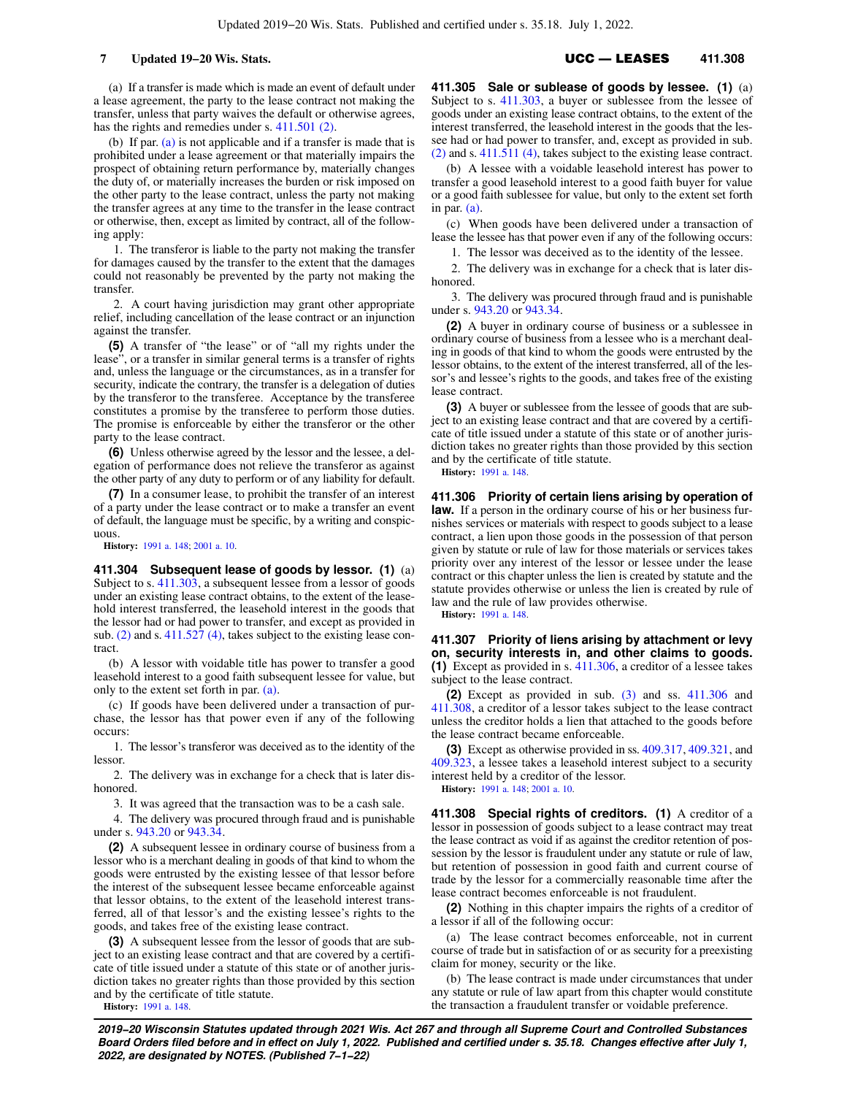(a) If a transfer is made which is made an event of default under a lease agreement, the party to the lease contract not making the transfer, unless that party waives the default or otherwise agrees, has the rights and remedies under s. [411.501 \(2\)](https://docs.legis.wisconsin.gov/document/statutes/411.501(2)).

(b) If par. [\(a\)](https://docs.legis.wisconsin.gov/document/statutes/411.303(4)(a)) is not applicable and if a transfer is made that is prohibited under a lease agreement or that materially impairs the prospect of obtaining return performance by, materially changes the duty of, or materially increases the burden or risk imposed on the other party to the lease contract, unless the party not making the transfer agrees at any time to the transfer in the lease contract or otherwise, then, except as limited by contract, all of the following apply:

1. The transferor is liable to the party not making the transfer for damages caused by the transfer to the extent that the damages could not reasonably be prevented by the party not making the transfer.

2. A court having jurisdiction may grant other appropriate relief, including cancellation of the lease contract or an injunction against the transfer.

**(5)** A transfer of "the lease" or of "all my rights under the lease", or a transfer in similar general terms is a transfer of rights and, unless the language or the circumstances, as in a transfer for security, indicate the contrary, the transfer is a delegation of duties by the transferor to the transferee. Acceptance by the transferee constitutes a promise by the transferee to perform those duties. The promise is enforceable by either the transferor or the other party to the lease contract.

**(6)** Unless otherwise agreed by the lessor and the lessee, a delegation of performance does not relieve the transferor as against the other party of any duty to perform or of any liability for default.

**(7)** In a consumer lease, to prohibit the transfer of an interest of a party under the lease contract or to make a transfer an event of default, the language must be specific, by a writing and conspicuous.

**History:** [1991 a. 148](https://docs.legis.wisconsin.gov/document/acts/1991/148); [2001 a. 10.](https://docs.legis.wisconsin.gov/document/acts/2001/10)

**411.304 Subsequent lease of goods by lessor. (1)** (a) Subject to s. [411.303](https://docs.legis.wisconsin.gov/document/statutes/411.303), a subsequent lessee from a lessor of goods under an existing lease contract obtains, to the extent of the leasehold interest transferred, the leasehold interest in the goods that the lessor had or had power to transfer, and except as provided in sub. [\(2\)](https://docs.legis.wisconsin.gov/document/statutes/411.304(2)) and s. [411.527 \(4\)](https://docs.legis.wisconsin.gov/document/statutes/411.527(4)), takes subject to the existing lease contract.

(b) A lessor with voidable title has power to transfer a good leasehold interest to a good faith subsequent lessee for value, but only to the extent set forth in par. [\(a\)](https://docs.legis.wisconsin.gov/document/statutes/411.304(1)(a)).

(c) If goods have been delivered under a transaction of purchase, the lessor has that power even if any of the following occurs:

1. The lessor's transferor was deceived as to the identity of the lessor.

2. The delivery was in exchange for a check that is later dishonored.

3. It was agreed that the transaction was to be a cash sale.

4. The delivery was procured through fraud and is punishable under s. [943.20](https://docs.legis.wisconsin.gov/document/statutes/943.20) or [943.34.](https://docs.legis.wisconsin.gov/document/statutes/943.34)

**(2)** A subsequent lessee in ordinary course of business from a lessor who is a merchant dealing in goods of that kind to whom the goods were entrusted by the existing lessee of that lessor before the interest of the subsequent lessee became enforceable against that lessor obtains, to the extent of the leasehold interest transferred, all of that lessor's and the existing lessee's rights to the goods, and takes free of the existing lease contract.

**(3)** A subsequent lessee from the lessor of goods that are subject to an existing lease contract and that are covered by a certificate of title issued under a statute of this state or of another jurisdiction takes no greater rights than those provided by this section and by the certificate of title statute.

**History:** [1991 a. 148](https://docs.legis.wisconsin.gov/document/acts/1991/148).

**411.305 Sale or sublease of goods by lessee. (1)** (a) Subject to s. [411.303](https://docs.legis.wisconsin.gov/document/statutes/411.303), a buyer or sublessee from the lessee of goods under an existing lease contract obtains, to the extent of the interest transferred, the leasehold interest in the goods that the lessee had or had power to transfer, and, except as provided in sub. [\(2\)](https://docs.legis.wisconsin.gov/document/statutes/411.305(2)) and s. [411.511 \(4\)](https://docs.legis.wisconsin.gov/document/statutes/411.511(4)), takes subject to the existing lease contract.

(b) A lessee with a voidable leasehold interest has power to transfer a good leasehold interest to a good faith buyer for value or a good faith sublessee for value, but only to the extent set forth in par. [\(a\).](https://docs.legis.wisconsin.gov/document/statutes/411.305(1)(a))

(c) When goods have been delivered under a transaction of lease the lessee has that power even if any of the following occurs:

1. The lessor was deceived as to the identity of the lessee.

2. The delivery was in exchange for a check that is later dishonored.

3. The delivery was procured through fraud and is punishable under s. [943.20](https://docs.legis.wisconsin.gov/document/statutes/943.20) or [943.34.](https://docs.legis.wisconsin.gov/document/statutes/943.34)

**(2)** A buyer in ordinary course of business or a sublessee in ordinary course of business from a lessee who is a merchant dealing in goods of that kind to whom the goods were entrusted by the lessor obtains, to the extent of the interest transferred, all of the lessor's and lessee's rights to the goods, and takes free of the existing lease contract.

**(3)** A buyer or sublessee from the lessee of goods that are subject to an existing lease contract and that are covered by a certificate of title issued under a statute of this state or of another jurisdiction takes no greater rights than those provided by this section and by the certificate of title statute.

**History:** [1991 a. 148.](https://docs.legis.wisconsin.gov/document/acts/1991/148)

**411.306 Priority of certain liens arising by operation of law.** If a person in the ordinary course of his or her business furnishes services or materials with respect to goods subject to a lease contract, a lien upon those goods in the possession of that person given by statute or rule of law for those materials or services takes priority over any interest of the lessor or lessee under the lease contract or this chapter unless the lien is created by statute and the statute provides otherwise or unless the lien is created by rule of law and the rule of law provides otherwise.

**History:** [1991 a. 148.](https://docs.legis.wisconsin.gov/document/acts/1991/148)

**411.307 Priority of liens arising by attachment or levy on, security interests in, and other claims to goods. (1)** Except as provided in s. [411.306](https://docs.legis.wisconsin.gov/document/statutes/411.306), a creditor of a lessee takes subject to the lease contract.

**(2)** Except as provided in sub. [\(3\)](https://docs.legis.wisconsin.gov/document/statutes/411.307(3)) and ss. [411.306](https://docs.legis.wisconsin.gov/document/statutes/411.306) and [411.308](https://docs.legis.wisconsin.gov/document/statutes/411.308), a creditor of a lessor takes subject to the lease contract unless the creditor holds a lien that attached to the goods before the lease contract became enforceable.

**(3)** Except as otherwise provided in ss. [409.317,](https://docs.legis.wisconsin.gov/document/statutes/409.317) [409.321](https://docs.legis.wisconsin.gov/document/statutes/409.321), and [409.323](https://docs.legis.wisconsin.gov/document/statutes/409.323), a lessee takes a leasehold interest subject to a security interest held by a creditor of the lessor. **History:** [1991 a. 148;](https://docs.legis.wisconsin.gov/document/acts/1991/148) [2001 a. 10.](https://docs.legis.wisconsin.gov/document/acts/2001/10)

**411.308 Special rights of creditors. (1)** A creditor of a lessor in possession of goods subject to a lease contract may treat the lease contract as void if as against the creditor retention of pos-

session by the lessor is fraudulent under any statute or rule of law, but retention of possession in good faith and current course of trade by the lessor for a commercially reasonable time after the lease contract becomes enforceable is not fraudulent.

**(2)** Nothing in this chapter impairs the rights of a creditor of a lessor if all of the following occur:

(a) The lease contract becomes enforceable, not in current course of trade but in satisfaction of or as security for a preexisting claim for money, security or the like.

(b) The lease contract is made under circumstances that under any statute or rule of law apart from this chapter would constitute the transaction a fraudulent transfer or voidable preference.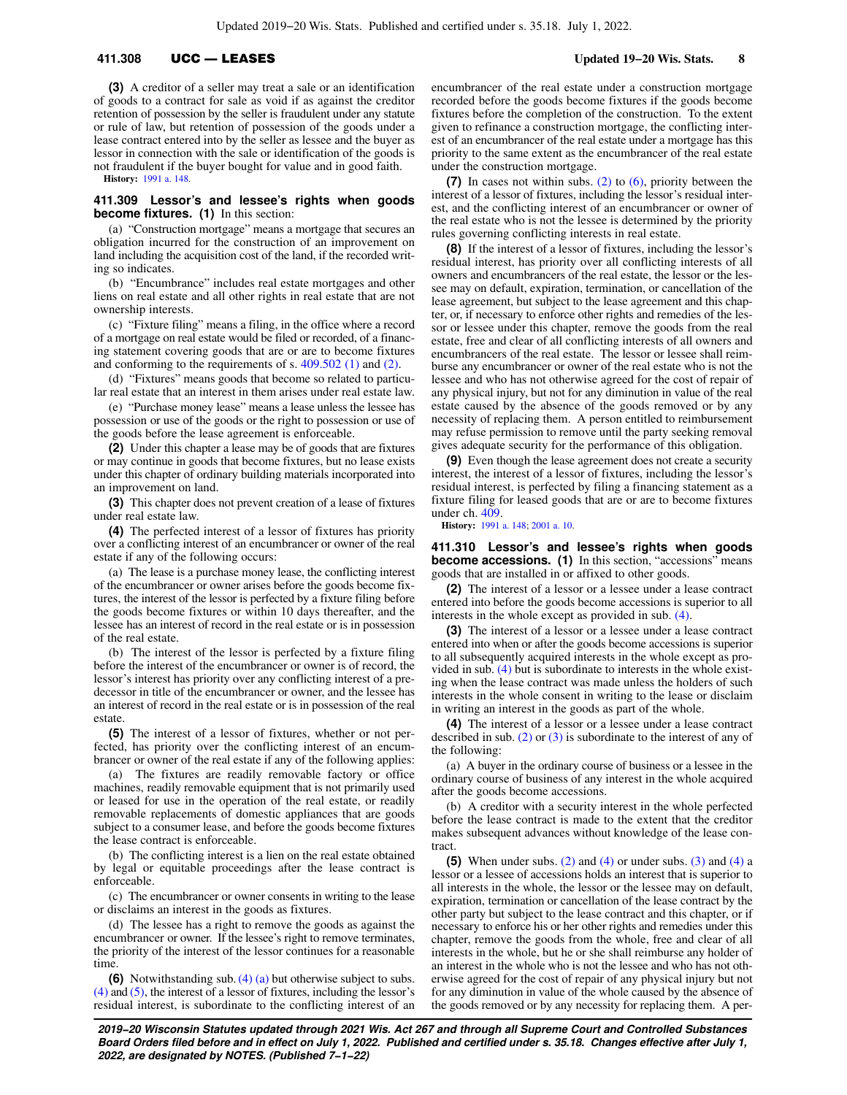# **411.308** UCC — LEASES **Updated 19−20 Wis. Stats. 8**

**(3)** A creditor of a seller may treat a sale or an identification of goods to a contract for sale as void if as against the creditor retention of possession by the seller is fraudulent under any statute or rule of law, but retention of possession of the goods under a lease contract entered into by the seller as lessee and the buyer as lessor in connection with the sale or identification of the goods is not fraudulent if the buyer bought for value and in good faith.

**History:** [1991 a. 148](https://docs.legis.wisconsin.gov/document/acts/1991/148).

### **411.309 Lessor's and lessee's rights when goods become fixtures. (1)** In this section:

(a) "Construction mortgage" means a mortgage that secures an obligation incurred for the construction of an improvement on land including the acquisition cost of the land, if the recorded writing so indicates.

(b) "Encumbrance" includes real estate mortgages and other liens on real estate and all other rights in real estate that are not ownership interests.

(c) "Fixture filing" means a filing, in the office where a record of a mortgage on real estate would be filed or recorded, of a financing statement covering goods that are or are to become fixtures and conforming to the requirements of s. [409.502 \(1\)](https://docs.legis.wisconsin.gov/document/statutes/409.502(1)) and [\(2\)](https://docs.legis.wisconsin.gov/document/statutes/409.502(2)).

(d) "Fixtures" means goods that become so related to particular real estate that an interest in them arises under real estate law.

(e) "Purchase money lease" means a lease unless the lessee has possession or use of the goods or the right to possession or use of the goods before the lease agreement is enforceable.

**(2)** Under this chapter a lease may be of goods that are fixtures or may continue in goods that become fixtures, but no lease exists under this chapter of ordinary building materials incorporated into an improvement on land.

**(3)** This chapter does not prevent creation of a lease of fixtures under real estate law.

**(4)** The perfected interest of a lessor of fixtures has priority over a conflicting interest of an encumbrancer or owner of the real estate if any of the following occurs:

(a) The lease is a purchase money lease, the conflicting interest of the encumbrancer or owner arises before the goods become fixtures, the interest of the lessor is perfected by a fixture filing before the goods become fixtures or within 10 days thereafter, and the lessee has an interest of record in the real estate or is in possession of the real estate.

(b) The interest of the lessor is perfected by a fixture filing before the interest of the encumbrancer or owner is of record, the lessor's interest has priority over any conflicting interest of a predecessor in title of the encumbrancer or owner, and the lessee has an interest of record in the real estate or is in possession of the real estate.

**(5)** The interest of a lessor of fixtures, whether or not perfected, has priority over the conflicting interest of an encumbrancer or owner of the real estate if any of the following applies:

(a) The fixtures are readily removable factory or office machines, readily removable equipment that is not primarily used or leased for use in the operation of the real estate, or readily removable replacements of domestic appliances that are goods subject to a consumer lease, and before the goods become fixtures the lease contract is enforceable.

(b) The conflicting interest is a lien on the real estate obtained by legal or equitable proceedings after the lease contract is enforceable.

(c) The encumbrancer or owner consents in writing to the lease or disclaims an interest in the goods as fixtures.

(d) The lessee has a right to remove the goods as against the encumbrancer or owner. If the lessee's right to remove terminates, the priority of the interest of the lessor continues for a reasonable time.

**(6)** Notwithstanding sub.[\(4\) \(a\)](https://docs.legis.wisconsin.gov/document/statutes/411.309(4)(a)) but otherwise subject to subs.  $(4)$  and  $(5)$ , the interest of a lessor of fixtures, including the lessor's residual interest, is subordinate to the conflicting interest of an encumbrancer of the real estate under a construction mortgage recorded before the goods become fixtures if the goods become fixtures before the completion of the construction. To the extent given to refinance a construction mortgage, the conflicting interest of an encumbrancer of the real estate under a mortgage has this priority to the same extent as the encumbrancer of the real estate under the construction mortgage.

**(7)** In cases not within subs. [\(2\)](https://docs.legis.wisconsin.gov/document/statutes/411.309(2)) to [\(6\)](https://docs.legis.wisconsin.gov/document/statutes/411.309(6)), priority between the interest of a lessor of fixtures, including the lessor's residual interest, and the conflicting interest of an encumbrancer or owner of the real estate who is not the lessee is determined by the priority rules governing conflicting interests in real estate.

**(8)** If the interest of a lessor of fixtures, including the lessor's residual interest, has priority over all conflicting interests of all owners and encumbrancers of the real estate, the lessor or the lessee may on default, expiration, termination, or cancellation of the lease agreement, but subject to the lease agreement and this chapter, or, if necessary to enforce other rights and remedies of the lessor or lessee under this chapter, remove the goods from the real estate, free and clear of all conflicting interests of all owners and encumbrancers of the real estate. The lessor or lessee shall reimburse any encumbrancer or owner of the real estate who is not the lessee and who has not otherwise agreed for the cost of repair of any physical injury, but not for any diminution in value of the real estate caused by the absence of the goods removed or by any necessity of replacing them. A person entitled to reimbursement may refuse permission to remove until the party seeking removal gives adequate security for the performance of this obligation.

**(9)** Even though the lease agreement does not create a security interest, the interest of a lessor of fixtures, including the lessor's residual interest, is perfected by filing a financing statement as a fixture filing for leased goods that are or are to become fixtures under ch. [409.](https://docs.legis.wisconsin.gov/document/statutes/ch.%20409)

**History:** [1991 a. 148;](https://docs.legis.wisconsin.gov/document/acts/1991/148) [2001 a. 10.](https://docs.legis.wisconsin.gov/document/acts/2001/10)

**411.310 Lessor's and lessee's rights when goods become accessions. (1)** In this section, "accessions" means goods that are installed in or affixed to other goods.

**(2)** The interest of a lessor or a lessee under a lease contract entered into before the goods become accessions is superior to all interests in the whole except as provided in sub. [\(4\).](https://docs.legis.wisconsin.gov/document/statutes/411.310(4))

**(3)** The interest of a lessor or a lessee under a lease contract entered into when or after the goods become accessions is superior to all subsequently acquired interests in the whole except as provided in sub. [\(4\)](https://docs.legis.wisconsin.gov/document/statutes/411.310(4)) but is subordinate to interests in the whole existing when the lease contract was made unless the holders of such interests in the whole consent in writing to the lease or disclaim in writing an interest in the goods as part of the whole.

**(4)** The interest of a lessor or a lessee under a lease contract described in sub. [\(2\)](https://docs.legis.wisconsin.gov/document/statutes/411.310(2)) or [\(3\)](https://docs.legis.wisconsin.gov/document/statutes/411.310(3)) is subordinate to the interest of any of the following:

(a) A buyer in the ordinary course of business or a lessee in the ordinary course of business of any interest in the whole acquired after the goods become accessions.

(b) A creditor with a security interest in the whole perfected before the lease contract is made to the extent that the creditor makes subsequent advances without knowledge of the lease contract.

**(5)** When under subs. [\(2\)](https://docs.legis.wisconsin.gov/document/statutes/411.310(2)) and [\(4\)](https://docs.legis.wisconsin.gov/document/statutes/411.310(4)) or under subs. [\(3\)](https://docs.legis.wisconsin.gov/document/statutes/411.310(3)) and [\(4\)](https://docs.legis.wisconsin.gov/document/statutes/411.310(4)) a lessor or a lessee of accessions holds an interest that is superior to all interests in the whole, the lessor or the lessee may on default, expiration, termination or cancellation of the lease contract by the other party but subject to the lease contract and this chapter, or if necessary to enforce his or her other rights and remedies under this chapter, remove the goods from the whole, free and clear of all interests in the whole, but he or she shall reimburse any holder of an interest in the whole who is not the lessee and who has not otherwise agreed for the cost of repair of any physical injury but not for any diminution in value of the whole caused by the absence of the goods removed or by any necessity for replacing them. A per-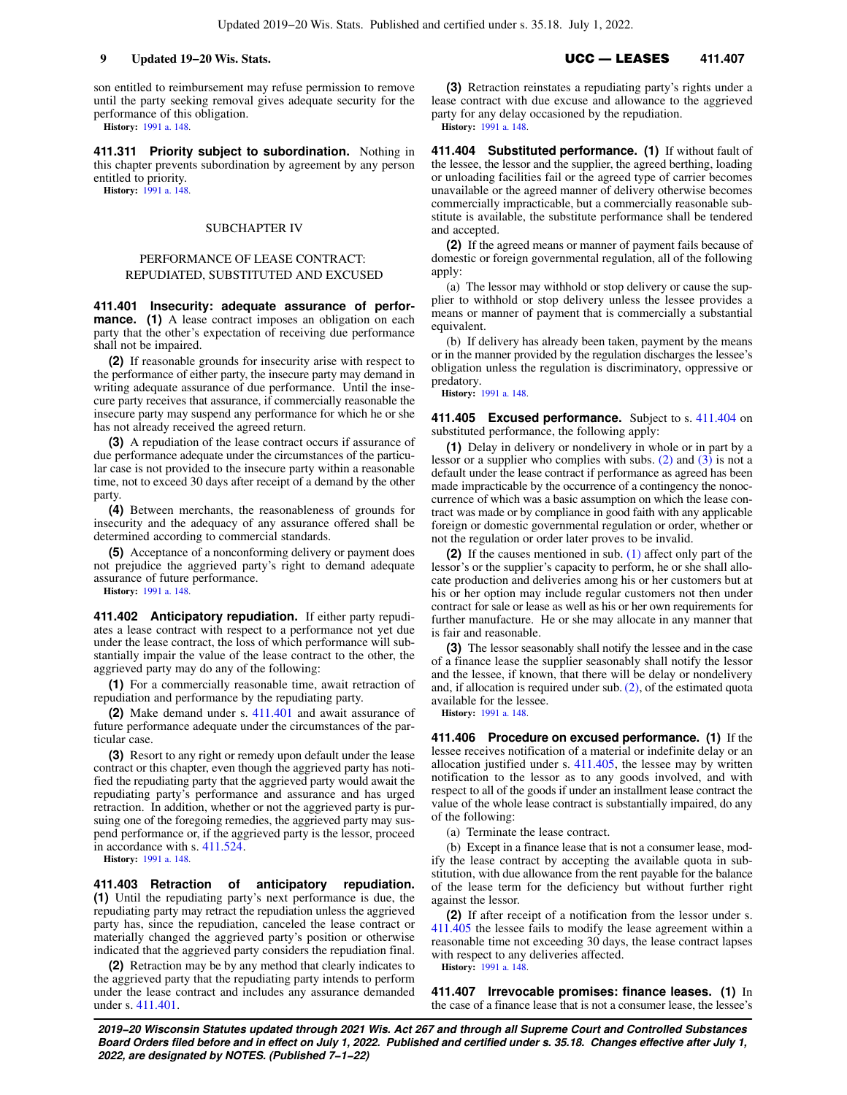**9 Updated 19−20 Wis. Stats. CC** — LEASES 411.407

son entitled to reimbursement may refuse permission to remove until the party seeking removal gives adequate security for the performance of this obligation.

**History:** [1991 a. 148](https://docs.legis.wisconsin.gov/document/acts/1991/148).

**411.311 Priority subject to subordination.** Nothing in this chapter prevents subordination by agreement by any person entitled to priority.

**History:** [1991 a. 148](https://docs.legis.wisconsin.gov/document/acts/1991/148).

## SUBCHAPTER IV

# PERFORMANCE OF LEASE CONTRACT: REPUDIATED, SUBSTITUTED AND EXCUSED

**411.401 Insecurity: adequate assurance of performance.** (1) A lease contract imposes an obligation on each party that the other's expectation of receiving due performance shall not be impaired.

**(2)** If reasonable grounds for insecurity arise with respect to the performance of either party, the insecure party may demand in writing adequate assurance of due performance. Until the insecure party receives that assurance, if commercially reasonable the insecure party may suspend any performance for which he or she has not already received the agreed return.

**(3)** A repudiation of the lease contract occurs if assurance of due performance adequate under the circumstances of the particular case is not provided to the insecure party within a reasonable time, not to exceed 30 days after receipt of a demand by the other party.

**(4)** Between merchants, the reasonableness of grounds for insecurity and the adequacy of any assurance offered shall be determined according to commercial standards.

**(5)** Acceptance of a nonconforming delivery or payment does not prejudice the aggrieved party's right to demand adequate assurance of future performance.

**History:** [1991 a. 148](https://docs.legis.wisconsin.gov/document/acts/1991/148).

**411.402 Anticipatory repudiation.** If either party repudiates a lease contract with respect to a performance not yet due under the lease contract, the loss of which performance will substantially impair the value of the lease contract to the other, the aggrieved party may do any of the following:

**(1)** For a commercially reasonable time, await retraction of repudiation and performance by the repudiating party.

**(2)** Make demand under s. [411.401](https://docs.legis.wisconsin.gov/document/statutes/411.401) and await assurance of future performance adequate under the circumstances of the particular case.

**(3)** Resort to any right or remedy upon default under the lease contract or this chapter, even though the aggrieved party has notified the repudiating party that the aggrieved party would await the repudiating party's performance and assurance and has urged retraction. In addition, whether or not the aggrieved party is pursuing one of the foregoing remedies, the aggrieved party may suspend performance or, if the aggrieved party is the lessor, proceed in accordance with s. [411.524.](https://docs.legis.wisconsin.gov/document/statutes/411.524)

**History:** [1991 a. 148](https://docs.legis.wisconsin.gov/document/acts/1991/148).

**411.403 Retraction of anticipatory repudiation. (1)** Until the repudiating party's next performance is due, the repudiating party may retract the repudiation unless the aggrieved party has, since the repudiation, canceled the lease contract or materially changed the aggrieved party's position or otherwise indicated that the aggrieved party considers the repudiation final.

**(2)** Retraction may be by any method that clearly indicates to the aggrieved party that the repudiating party intends to perform under the lease contract and includes any assurance demanded under s. [411.401.](https://docs.legis.wisconsin.gov/document/statutes/411.401)

**(3)** Retraction reinstates a repudiating party's rights under a lease contract with due excuse and allowance to the aggrieved party for any delay occasioned by the repudiation. **History:** [1991 a. 148.](https://docs.legis.wisconsin.gov/document/acts/1991/148)

**411.404 Substituted performance. (1)** If without fault of the lessee, the lessor and the supplier, the agreed berthing, loading or unloading facilities fail or the agreed type of carrier becomes unavailable or the agreed manner of delivery otherwise becomes commercially impracticable, but a commercially reasonable substitute is available, the substitute performance shall be tendered and accepted.

**(2)** If the agreed means or manner of payment fails because of domestic or foreign governmental regulation, all of the following apply:

(a) The lessor may withhold or stop delivery or cause the supplier to withhold or stop delivery unless the lessee provides a means or manner of payment that is commercially a substantial equivalent.

(b) If delivery has already been taken, payment by the means or in the manner provided by the regulation discharges the lessee's obligation unless the regulation is discriminatory, oppressive or predatory.

**History:** [1991 a. 148.](https://docs.legis.wisconsin.gov/document/acts/1991/148)

**411.405 Excused performance.** Subject to s. [411.404](https://docs.legis.wisconsin.gov/document/statutes/411.404) on substituted performance, the following apply:

**(1)** Delay in delivery or nondelivery in whole or in part by a lessor or a supplier who complies with subs. [\(2\)](https://docs.legis.wisconsin.gov/document/statutes/411.405(2)) and [\(3\)](https://docs.legis.wisconsin.gov/document/statutes/411.405(3)) is not a default under the lease contract if performance as agreed has been made impracticable by the occurrence of a contingency the nonoccurrence of which was a basic assumption on which the lease contract was made or by compliance in good faith with any applicable foreign or domestic governmental regulation or order, whether or not the regulation or order later proves to be invalid.

**(2)** If the causes mentioned in sub. [\(1\)](https://docs.legis.wisconsin.gov/document/statutes/411.405(1)) affect only part of the lessor's or the supplier's capacity to perform, he or she shall allocate production and deliveries among his or her customers but at his or her option may include regular customers not then under contract for sale or lease as well as his or her own requirements for further manufacture. He or she may allocate in any manner that is fair and reasonable.

**(3)** The lessor seasonably shall notify the lessee and in the case of a finance lease the supplier seasonably shall notify the lessor and the lessee, if known, that there will be delay or nondelivery and, if allocation is required under sub.  $(2)$ , of the estimated quota available for the lessee.

**History:** [1991 a. 148.](https://docs.legis.wisconsin.gov/document/acts/1991/148)

**411.406 Procedure on excused performance. (1)** If the lessee receives notification of a material or indefinite delay or an allocation justified under s. [411.405,](https://docs.legis.wisconsin.gov/document/statutes/411.405) the lessee may by written notification to the lessor as to any goods involved, and with respect to all of the goods if under an installment lease contract the value of the whole lease contract is substantially impaired, do any of the following:

(a) Terminate the lease contract.

(b) Except in a finance lease that is not a consumer lease, modify the lease contract by accepting the available quota in substitution, with due allowance from the rent payable for the balance of the lease term for the deficiency but without further right against the lessor.

**(2)** If after receipt of a notification from the lessor under s. [411.405](https://docs.legis.wisconsin.gov/document/statutes/411.405) the lessee fails to modify the lease agreement within a reasonable time not exceeding 30 days, the lease contract lapses with respect to any deliveries affected.

**History:** [1991 a. 148.](https://docs.legis.wisconsin.gov/document/acts/1991/148)

**411.407 Irrevocable promises: finance leases. (1)** In the case of a finance lease that is not a consumer lease, the lessee's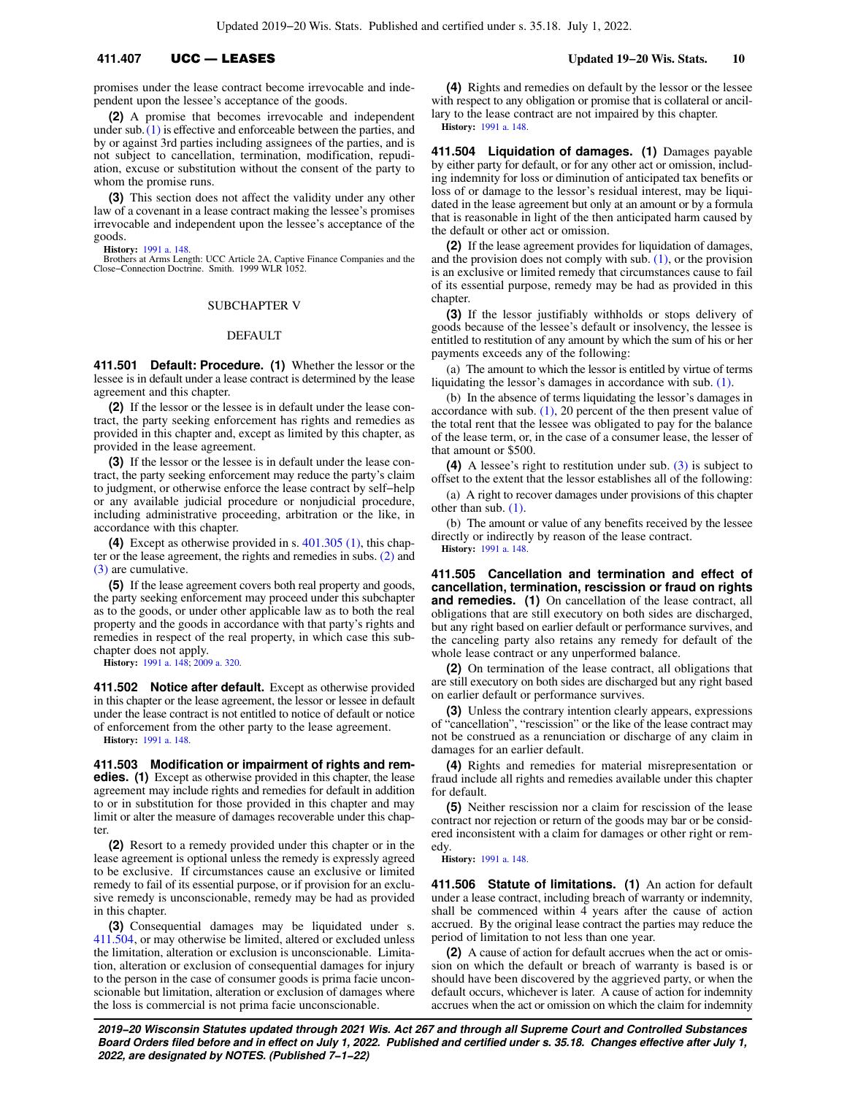## **411.407** UCC — LEASES **Updated 19−20 Wis. Stats. 10**

pendent upon the lessee's acceptance of the goods. **(2)** A promise that becomes irrevocable and independent under sub.  $(1)$  is effective and enforceable between the parties, and by or against 3rd parties including assignees of the parties, and is not subject to cancellation, termination, modification, repudiation, excuse or substitution without the consent of the party to whom the promise runs.

**(3)** This section does not affect the validity under any other law of a covenant in a lease contract making the lessee's promises irrevocable and independent upon the lessee's acceptance of the goods.

**History:** [1991 a. 148](https://docs.legis.wisconsin.gov/document/acts/1991/148).

Brothers at Arms Length: UCC Article 2A, Captive Finance Companies and the Close−Connection Doctrine. Smith. 1999 WLR 1052.

### SUBCHAPTER V

### DEFAULT

**411.501 Default: Procedure. (1)** Whether the lessor or the lessee is in default under a lease contract is determined by the lease agreement and this chapter.

**(2)** If the lessor or the lessee is in default under the lease contract, the party seeking enforcement has rights and remedies as provided in this chapter and, except as limited by this chapter, as provided in the lease agreement.

**(3)** If the lessor or the lessee is in default under the lease contract, the party seeking enforcement may reduce the party's claim to judgment, or otherwise enforce the lease contract by self−help or any available judicial procedure or nonjudicial procedure, including administrative proceeding, arbitration or the like, in accordance with this chapter.

**(4)** Except as otherwise provided in s. [401.305 \(1\),](https://docs.legis.wisconsin.gov/document/statutes/401.305(1)) this chapter or the lease agreement, the rights and remedies in subs. [\(2\)](https://docs.legis.wisconsin.gov/document/statutes/411.501(2)) and [\(3\)](https://docs.legis.wisconsin.gov/document/statutes/411.501(3)) are cumulative.

**(5)** If the lease agreement covers both real property and goods, the party seeking enforcement may proceed under this subchapter as to the goods, or under other applicable law as to both the real property and the goods in accordance with that party's rights and remedies in respect of the real property, in which case this subchapter does not apply.

**History:** [1991 a. 148](https://docs.legis.wisconsin.gov/document/acts/1991/148); [2009 a. 320](https://docs.legis.wisconsin.gov/document/acts/2009/320).

**411.502 Notice after default.** Except as otherwise provided in this chapter or the lease agreement, the lessor or lessee in default under the lease contract is not entitled to notice of default or notice of enforcement from the other party to the lease agreement.

**History:** [1991 a. 148](https://docs.legis.wisconsin.gov/document/acts/1991/148).

**411.503 Modification or impairment of rights and remedies. (1)** Except as otherwise provided in this chapter, the lease agreement may include rights and remedies for default in addition to or in substitution for those provided in this chapter and may limit or alter the measure of damages recoverable under this chapter.

**(2)** Resort to a remedy provided under this chapter or in the lease agreement is optional unless the remedy is expressly agreed to be exclusive. If circumstances cause an exclusive or limited remedy to fail of its essential purpose, or if provision for an exclusive remedy is unconscionable, remedy may be had as provided in this chapter.

**(3)** Consequential damages may be liquidated under s. [411.504,](https://docs.legis.wisconsin.gov/document/statutes/411.504) or may otherwise be limited, altered or excluded unless the limitation, alteration or exclusion is unconscionable. Limitation, alteration or exclusion of consequential damages for injury to the person in the case of consumer goods is prima facie unconscionable but limitation, alteration or exclusion of damages where the loss is commercial is not prima facie unconscionable.

**(4)** Rights and remedies on default by the lessor or the lessee with respect to any obligation or promise that is collateral or ancillary to the lease contract are not impaired by this chapter. **History:** [1991 a. 148.](https://docs.legis.wisconsin.gov/document/acts/1991/148)

**411.504 Liquidation of damages. (1)** Damages payable by either party for default, or for any other act or omission, including indemnity for loss or diminution of anticipated tax benefits or loss of or damage to the lessor's residual interest, may be liquidated in the lease agreement but only at an amount or by a formula that is reasonable in light of the then anticipated harm caused by the default or other act or omission.

**(2)** If the lease agreement provides for liquidation of damages, and the provision does not comply with sub.  $(1)$ , or the provision is an exclusive or limited remedy that circumstances cause to fail of its essential purpose, remedy may be had as provided in this chapter.

**(3)** If the lessor justifiably withholds or stops delivery of goods because of the lessee's default or insolvency, the lessee is entitled to restitution of any amount by which the sum of his or her payments exceeds any of the following:

(a) The amount to which the lessor is entitled by virtue of terms liquidating the lessor's damages in accordance with sub. [\(1\).](https://docs.legis.wisconsin.gov/document/statutes/411.504(1))

(b) In the absence of terms liquidating the lessor's damages in accordance with sub.  $(1)$ , 20 percent of the then present value of the total rent that the lessee was obligated to pay for the balance of the lease term, or, in the case of a consumer lease, the lesser of that amount or \$500.

**(4)** A lessee's right to restitution under sub. [\(3\)](https://docs.legis.wisconsin.gov/document/statutes/411.504(3)) is subject to offset to the extent that the lessor establishes all of the following:

(a) A right to recover damages under provisions of this chapter other than sub. [\(1\)](https://docs.legis.wisconsin.gov/document/statutes/411.504(1)).

(b) The amount or value of any benefits received by the lessee directly or indirectly by reason of the lease contract.

**History:** [1991 a. 148.](https://docs.legis.wisconsin.gov/document/acts/1991/148)

**411.505 Cancellation and termination and effect of cancellation, termination, rescission or fraud on rights and remedies. (1)** On cancellation of the lease contract, all obligations that are still executory on both sides are discharged, but any right based on earlier default or performance survives, and the canceling party also retains any remedy for default of the whole lease contract or any unperformed balance.

**(2)** On termination of the lease contract, all obligations that are still executory on both sides are discharged but any right based on earlier default or performance survives.

**(3)** Unless the contrary intention clearly appears, expressions of "cancellation", "rescission" or the like of the lease contract may not be construed as a renunciation or discharge of any claim in damages for an earlier default.

**(4)** Rights and remedies for material misrepresentation or fraud include all rights and remedies available under this chapter for default.

**(5)** Neither rescission nor a claim for rescission of the lease contract nor rejection or return of the goods may bar or be considered inconsistent with a claim for damages or other right or remedy.

**History:** [1991 a. 148.](https://docs.legis.wisconsin.gov/document/acts/1991/148)

**411.506 Statute of limitations. (1)** An action for default under a lease contract, including breach of warranty or indemnity, shall be commenced within 4 years after the cause of action accrued. By the original lease contract the parties may reduce the period of limitation to not less than one year.

**(2)** A cause of action for default accrues when the act or omission on which the default or breach of warranty is based is or should have been discovered by the aggrieved party, or when the default occurs, whichever is later. A cause of action for indemnity accrues when the act or omission on which the claim for indemnity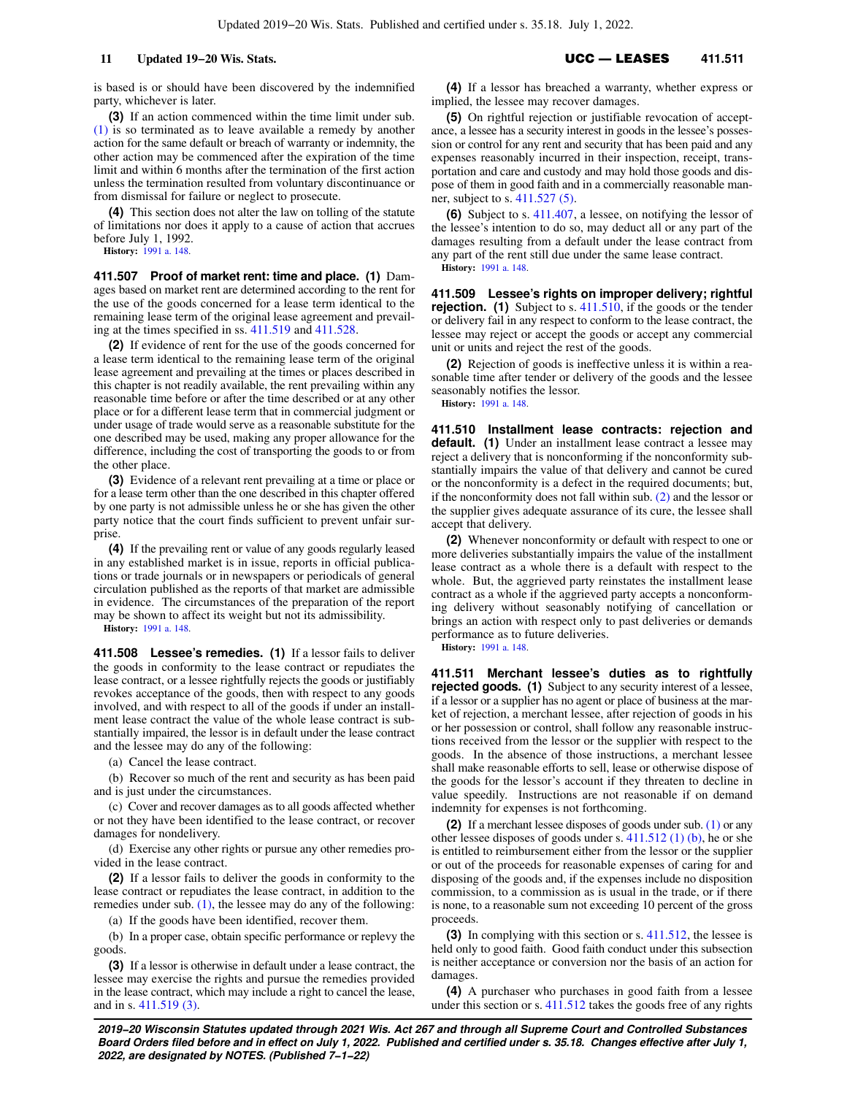is based is or should have been discovered by the indemnified party, whichever is later.

**(3)** If an action commenced within the time limit under sub. [\(1\)](https://docs.legis.wisconsin.gov/document/statutes/411.506(1)) is so terminated as to leave available a remedy by another action for the same default or breach of warranty or indemnity, the other action may be commenced after the expiration of the time limit and within 6 months after the termination of the first action unless the termination resulted from voluntary discontinuance or from dismissal for failure or neglect to prosecute.

**(4)** This section does not alter the law on tolling of the statute of limitations nor does it apply to a cause of action that accrues before July 1, 1992.

**History:** [1991 a. 148](https://docs.legis.wisconsin.gov/document/acts/1991/148).

**411.507 Proof of market rent: time and place. (1)** Damages based on market rent are determined according to the rent for the use of the goods concerned for a lease term identical to the remaining lease term of the original lease agreement and prevailing at the times specified in ss. [411.519](https://docs.legis.wisconsin.gov/document/statutes/411.519) and [411.528](https://docs.legis.wisconsin.gov/document/statutes/411.528).

**(2)** If evidence of rent for the use of the goods concerned for a lease term identical to the remaining lease term of the original lease agreement and prevailing at the times or places described in this chapter is not readily available, the rent prevailing within any reasonable time before or after the time described or at any other place or for a different lease term that in commercial judgment or under usage of trade would serve as a reasonable substitute for the one described may be used, making any proper allowance for the difference, including the cost of transporting the goods to or from the other place.

**(3)** Evidence of a relevant rent prevailing at a time or place or for a lease term other than the one described in this chapter offered by one party is not admissible unless he or she has given the other party notice that the court finds sufficient to prevent unfair surprise.

**(4)** If the prevailing rent or value of any goods regularly leased in any established market is in issue, reports in official publications or trade journals or in newspapers or periodicals of general circulation published as the reports of that market are admissible in evidence. The circumstances of the preparation of the report may be shown to affect its weight but not its admissibility.

**History:** [1991 a. 148](https://docs.legis.wisconsin.gov/document/acts/1991/148).

**411.508 Lessee's remedies. (1)** If a lessor fails to deliver the goods in conformity to the lease contract or repudiates the lease contract, or a lessee rightfully rejects the goods or justifiably revokes acceptance of the goods, then with respect to any goods involved, and with respect to all of the goods if under an installment lease contract the value of the whole lease contract is substantially impaired, the lessor is in default under the lease contract and the lessee may do any of the following:

(a) Cancel the lease contract.

(b) Recover so much of the rent and security as has been paid and is just under the circumstances.

(c) Cover and recover damages as to all goods affected whether or not they have been identified to the lease contract, or recover damages for nondelivery.

(d) Exercise any other rights or pursue any other remedies provided in the lease contract.

**(2)** If a lessor fails to deliver the goods in conformity to the lease contract or repudiates the lease contract, in addition to the remedies under sub. [\(1\)](https://docs.legis.wisconsin.gov/document/statutes/411.508(1)), the lessee may do any of the following:

(a) If the goods have been identified, recover them.

(b) In a proper case, obtain specific performance or replevy the goods.

**(3)** If a lessor is otherwise in default under a lease contract, the lessee may exercise the rights and pursue the remedies provided in the lease contract, which may include a right to cancel the lease, and in s. [411.519 \(3\)](https://docs.legis.wisconsin.gov/document/statutes/411.519(3)).

**(4)** If a lessor has breached a warranty, whether express or implied, the lessee may recover damages.

**(5)** On rightful rejection or justifiable revocation of acceptance, a lessee has a security interest in goods in the lessee's possession or control for any rent and security that has been paid and any expenses reasonably incurred in their inspection, receipt, transportation and care and custody and may hold those goods and dispose of them in good faith and in a commercially reasonable manner, subject to s. [411.527 \(5\).](https://docs.legis.wisconsin.gov/document/statutes/411.527(5))

**(6)** Subject to s. [411.407,](https://docs.legis.wisconsin.gov/document/statutes/411.407) a lessee, on notifying the lessor of the lessee's intention to do so, may deduct all or any part of the damages resulting from a default under the lease contract from any part of the rent still due under the same lease contract. **History:** [1991 a. 148.](https://docs.legis.wisconsin.gov/document/acts/1991/148)

**411.509 Lessee's rights on improper delivery; rightful rejection. (1)** Subject to s. [411.510,](https://docs.legis.wisconsin.gov/document/statutes/411.510) if the goods or the tender or delivery fail in any respect to conform to the lease contract, the lessee may reject or accept the goods or accept any commercial unit or units and reject the rest of the goods.

**(2)** Rejection of goods is ineffective unless it is within a reasonable time after tender or delivery of the goods and the lessee seasonably notifies the lessor. **History:** [1991 a. 148.](https://docs.legis.wisconsin.gov/document/acts/1991/148)

**411.510 Installment lease contracts: rejection and default. (1)** Under an installment lease contract a lessee may reject a delivery that is nonconforming if the nonconformity substantially impairs the value of that delivery and cannot be cured or the nonconformity is a defect in the required documents; but, if the nonconformity does not fall within sub. [\(2\)](https://docs.legis.wisconsin.gov/document/statutes/411.510(2)) and the lessor or the supplier gives adequate assurance of its cure, the lessee shall accept that delivery.

**(2)** Whenever nonconformity or default with respect to one or more deliveries substantially impairs the value of the installment lease contract as a whole there is a default with respect to the whole. But, the aggrieved party reinstates the installment lease contract as a whole if the aggrieved party accepts a nonconforming delivery without seasonably notifying of cancellation or brings an action with respect only to past deliveries or demands performance as to future deliveries.

**History:** [1991 a. 148.](https://docs.legis.wisconsin.gov/document/acts/1991/148)

**411.511 Merchant lessee's duties as to rightfully rejected goods.** (1) Subject to any security interest of a lessee, if a lessor or a supplier has no agent or place of business at the market of rejection, a merchant lessee, after rejection of goods in his or her possession or control, shall follow any reasonable instructions received from the lessor or the supplier with respect to the goods. In the absence of those instructions, a merchant lessee shall make reasonable efforts to sell, lease or otherwise dispose of the goods for the lessor's account if they threaten to decline in value speedily. Instructions are not reasonable if on demand indemnity for expenses is not forthcoming.

**(2)** If a merchant lessee disposes of goods under sub. [\(1\)](https://docs.legis.wisconsin.gov/document/statutes/411.511(1)) or any other lessee disposes of goods under s. [411.512 \(1\) \(b\),](https://docs.legis.wisconsin.gov/document/statutes/411.512(1)(b)) he or she is entitled to reimbursement either from the lessor or the supplier or out of the proceeds for reasonable expenses of caring for and disposing of the goods and, if the expenses include no disposition commission, to a commission as is usual in the trade, or if there is none, to a reasonable sum not exceeding 10 percent of the gross proceeds.

**(3)** In complying with this section or s. [411.512,](https://docs.legis.wisconsin.gov/document/statutes/411.512) the lessee is held only to good faith. Good faith conduct under this subsection is neither acceptance or conversion nor the basis of an action for damages.

**(4)** A purchaser who purchases in good faith from a lessee under this section or s. [411.512](https://docs.legis.wisconsin.gov/document/statutes/411.512) takes the goods free of any rights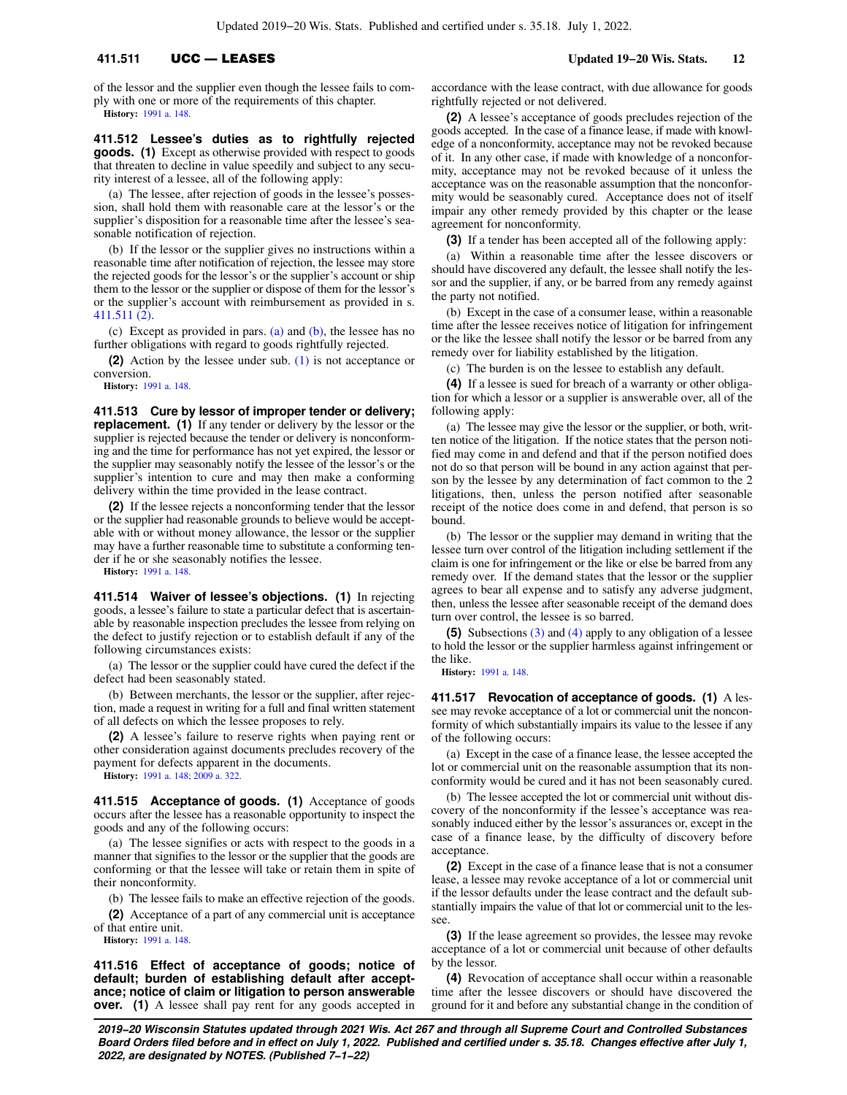## **411.511** UCC — LEASES **Updated 19−20 Wis. Stats. 12**

of the lessor and the supplier even though the lessee fails to comply with one or more of the requirements of this chapter. **History:** [1991 a. 148](https://docs.legis.wisconsin.gov/document/acts/1991/148).

**411.512 Lessee's duties as to rightfully rejected goods. (1)** Except as otherwise provided with respect to goods that threaten to decline in value speedily and subject to any security interest of a lessee, all of the following apply:

(a) The lessee, after rejection of goods in the lessee's possession, shall hold them with reasonable care at the lessor's or the supplier's disposition for a reasonable time after the lessee's seasonable notification of rejection.

(b) If the lessor or the supplier gives no instructions within a reasonable time after notification of rejection, the lessee may store the rejected goods for the lessor's or the supplier's account or ship them to the lessor or the supplier or dispose of them for the lessor's or the supplier's account with reimbursement as provided in s. [411.511 \(2\)](https://docs.legis.wisconsin.gov/document/statutes/411.511(2)).

(c) Except as provided in pars. [\(a\)](https://docs.legis.wisconsin.gov/document/statutes/411.512(1)(a)) and [\(b\),](https://docs.legis.wisconsin.gov/document/statutes/411.512(1)(b)) the lessee has no further obligations with regard to goods rightfully rejected.

**(2)** Action by the lessee under sub. [\(1\)](https://docs.legis.wisconsin.gov/document/statutes/411.512(1)) is not acceptance or conversion.

**History:** [1991 a. 148](https://docs.legis.wisconsin.gov/document/acts/1991/148).

**411.513 Cure by lessor of improper tender or delivery; replacement. (1)** If any tender or delivery by the lessor or the supplier is rejected because the tender or delivery is nonconforming and the time for performance has not yet expired, the lessor or the supplier may seasonably notify the lessee of the lessor's or the supplier's intention to cure and may then make a conforming delivery within the time provided in the lease contract.

**(2)** If the lessee rejects a nonconforming tender that the lessor or the supplier had reasonable grounds to believe would be acceptable with or without money allowance, the lessor or the supplier may have a further reasonable time to substitute a conforming tender if he or she seasonably notifies the lessee.

**History:** [1991 a. 148](https://docs.legis.wisconsin.gov/document/acts/1991/148).

**411.514 Waiver of lessee's objections. (1)** In rejecting goods, a lessee's failure to state a particular defect that is ascertainable by reasonable inspection precludes the lessee from relying on the defect to justify rejection or to establish default if any of the following circumstances exists:

(a) The lessor or the supplier could have cured the defect if the defect had been seasonably stated.

(b) Between merchants, the lessor or the supplier, after rejection, made a request in writing for a full and final written statement of all defects on which the lessee proposes to rely.

**(2)** A lessee's failure to reserve rights when paying rent or other consideration against documents precludes recovery of the payment for defects apparent in the documents.

**History:** [1991 a. 148](https://docs.legis.wisconsin.gov/document/acts/1991/148); [2009 a. 322](https://docs.legis.wisconsin.gov/document/acts/2009/322).

**411.515 Acceptance of goods. (1)** Acceptance of goods occurs after the lessee has a reasonable opportunity to inspect the goods and any of the following occurs:

(a) The lessee signifies or acts with respect to the goods in a manner that signifies to the lessor or the supplier that the goods are conforming or that the lessee will take or retain them in spite of their nonconformity.

(b) The lessee fails to make an effective rejection of the goods.

**(2)** Acceptance of a part of any commercial unit is acceptance of that entire unit.

**History:** [1991 a. 148](https://docs.legis.wisconsin.gov/document/acts/1991/148).

**411.516 Effect of acceptance of goods; notice of default; burden of establishing default after acceptance; notice of claim or litigation to person answerable over.** (1) A lessee shall pay rent for any goods accepted in accordance with the lease contract, with due allowance for goods rightfully rejected or not delivered.

**(2)** A lessee's acceptance of goods precludes rejection of the goods accepted. In the case of a finance lease, if made with knowledge of a nonconformity, acceptance may not be revoked because of it. In any other case, if made with knowledge of a nonconformity, acceptance may not be revoked because of it unless the acceptance was on the reasonable assumption that the nonconformity would be seasonably cured. Acceptance does not of itself impair any other remedy provided by this chapter or the lease agreement for nonconformity.

**(3)** If a tender has been accepted all of the following apply:

(a) Within a reasonable time after the lessee discovers or should have discovered any default, the lessee shall notify the lessor and the supplier, if any, or be barred from any remedy against the party not notified.

(b) Except in the case of a consumer lease, within a reasonable time after the lessee receives notice of litigation for infringement or the like the lessee shall notify the lessor or be barred from any remedy over for liability established by the litigation.

(c) The burden is on the lessee to establish any default.

**(4)** If a lessee is sued for breach of a warranty or other obligation for which a lessor or a supplier is answerable over, all of the following apply:

(a) The lessee may give the lessor or the supplier, or both, written notice of the litigation. If the notice states that the person notified may come in and defend and that if the person notified does not do so that person will be bound in any action against that person by the lessee by any determination of fact common to the 2 litigations, then, unless the person notified after seasonable receipt of the notice does come in and defend, that person is so bound.

(b) The lessor or the supplier may demand in writing that the lessee turn over control of the litigation including settlement if the claim is one for infringement or the like or else be barred from any remedy over. If the demand states that the lessor or the supplier agrees to bear all expense and to satisfy any adverse judgment, then, unless the lessee after seasonable receipt of the demand does turn over control, the lessee is so barred.

**(5)** Subsections [\(3\)](https://docs.legis.wisconsin.gov/document/statutes/411.516(3)) and [\(4\)](https://docs.legis.wisconsin.gov/document/statutes/411.516(4)) apply to any obligation of a lessee to hold the lessor or the supplier harmless against infringement or the like.

**History:** [1991 a. 148.](https://docs.legis.wisconsin.gov/document/acts/1991/148)

**411.517 Revocation of acceptance of goods. (1)** A lessee may revoke acceptance of a lot or commercial unit the nonconformity of which substantially impairs its value to the lessee if any of the following occurs:

(a) Except in the case of a finance lease, the lessee accepted the lot or commercial unit on the reasonable assumption that its nonconformity would be cured and it has not been seasonably cured.

(b) The lessee accepted the lot or commercial unit without discovery of the nonconformity if the lessee's acceptance was reasonably induced either by the lessor's assurances or, except in the case of a finance lease, by the difficulty of discovery before acceptance.

**(2)** Except in the case of a finance lease that is not a consumer lease, a lessee may revoke acceptance of a lot or commercial unit if the lessor defaults under the lease contract and the default substantially impairs the value of that lot or commercial unit to the lessee.

**(3)** If the lease agreement so provides, the lessee may revoke acceptance of a lot or commercial unit because of other defaults by the lessor.

**(4)** Revocation of acceptance shall occur within a reasonable time after the lessee discovers or should have discovered the ground for it and before any substantial change in the condition of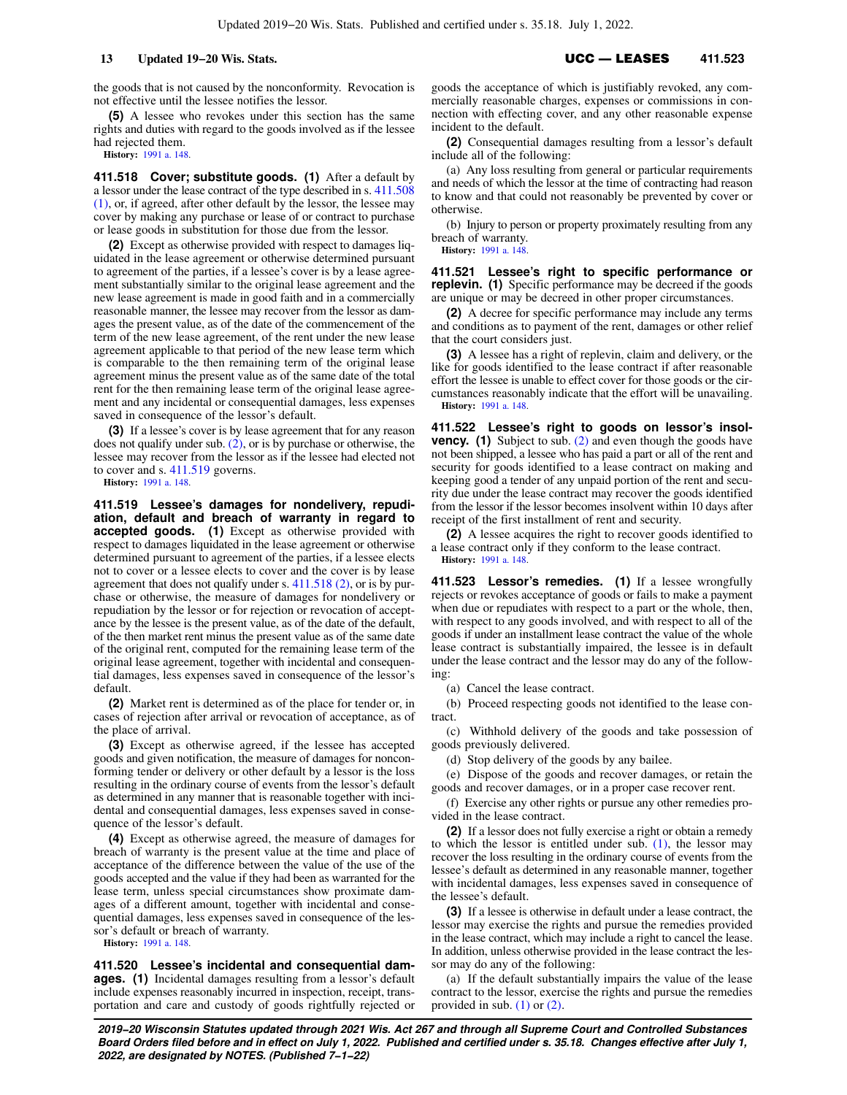the goods that is not caused by the nonconformity. Revocation is not effective until the lessee notifies the lessor.

**(5)** A lessee who revokes under this section has the same rights and duties with regard to the goods involved as if the lessee had rejected them.

**History:** [1991 a. 148](https://docs.legis.wisconsin.gov/document/acts/1991/148).

**411.518 Cover; substitute goods. (1)** After a default by a lessor under the lease contract of the type described in s. [411.508](https://docs.legis.wisconsin.gov/document/statutes/411.508(1)) [\(1\)](https://docs.legis.wisconsin.gov/document/statutes/411.508(1)), or, if agreed, after other default by the lessor, the lessee may cover by making any purchase or lease of or contract to purchase or lease goods in substitution for those due from the lessor.

**(2)** Except as otherwise provided with respect to damages liquidated in the lease agreement or otherwise determined pursuant to agreement of the parties, if a lessee's cover is by a lease agreement substantially similar to the original lease agreement and the new lease agreement is made in good faith and in a commercially reasonable manner, the lessee may recover from the lessor as damages the present value, as of the date of the commencement of the term of the new lease agreement, of the rent under the new lease agreement applicable to that period of the new lease term which is comparable to the then remaining term of the original lease agreement minus the present value as of the same date of the total rent for the then remaining lease term of the original lease agreement and any incidental or consequential damages, less expenses saved in consequence of the lessor's default.

**(3)** If a lessee's cover is by lease agreement that for any reason does not qualify under sub. [\(2\),](https://docs.legis.wisconsin.gov/document/statutes/411.518(2)) or is by purchase or otherwise, the lessee may recover from the lessor as if the lessee had elected not to cover and s. [411.519](https://docs.legis.wisconsin.gov/document/statutes/411.519) governs.

**History:** [1991 a. 148](https://docs.legis.wisconsin.gov/document/acts/1991/148).

**411.519 Lessee's damages for nondelivery, repudiation, default and breach of warranty in regard to accepted goods. (1)** Except as otherwise provided with respect to damages liquidated in the lease agreement or otherwise determined pursuant to agreement of the parties, if a lessee elects not to cover or a lessee elects to cover and the cover is by lease agreement that does not qualify under s. [411.518 \(2\),](https://docs.legis.wisconsin.gov/document/statutes/411.518(2)) or is by purchase or otherwise, the measure of damages for nondelivery or repudiation by the lessor or for rejection or revocation of acceptance by the lessee is the present value, as of the date of the default, of the then market rent minus the present value as of the same date of the original rent, computed for the remaining lease term of the original lease agreement, together with incidental and consequential damages, less expenses saved in consequence of the lessor's default.

**(2)** Market rent is determined as of the place for tender or, in cases of rejection after arrival or revocation of acceptance, as of the place of arrival.

**(3)** Except as otherwise agreed, if the lessee has accepted goods and given notification, the measure of damages for nonconforming tender or delivery or other default by a lessor is the loss resulting in the ordinary course of events from the lessor's default as determined in any manner that is reasonable together with incidental and consequential damages, less expenses saved in consequence of the lessor's default.

**(4)** Except as otherwise agreed, the measure of damages for breach of warranty is the present value at the time and place of acceptance of the difference between the value of the use of the goods accepted and the value if they had been as warranted for the lease term, unless special circumstances show proximate damages of a different amount, together with incidental and consequential damages, less expenses saved in consequence of the lessor's default or breach of warranty.

**History:** [1991 a. 148](https://docs.legis.wisconsin.gov/document/acts/1991/148).

**411.520 Lessee's incidental and consequential damages. (1)** Incidental damages resulting from a lessor's default include expenses reasonably incurred in inspection, receipt, transportation and care and custody of goods rightfully rejected or goods the acceptance of which is justifiably revoked, any commercially reasonable charges, expenses or commissions in connection with effecting cover, and any other reasonable expense incident to the default.

**(2)** Consequential damages resulting from a lessor's default include all of the following:

(a) Any loss resulting from general or particular requirements and needs of which the lessor at the time of contracting had reason to know and that could not reasonably be prevented by cover or otherwise.

(b) Injury to person or property proximately resulting from any breach of warranty.

**History:** [1991 a. 148.](https://docs.legis.wisconsin.gov/document/acts/1991/148)

**411.521 Lessee's right to specific performance or replevin. (1)** Specific performance may be decreed if the goods are unique or may be decreed in other proper circumstances.

**(2)** A decree for specific performance may include any terms and conditions as to payment of the rent, damages or other relief that the court considers just.

**(3)** A lessee has a right of replevin, claim and delivery, or the like for goods identified to the lease contract if after reasonable effort the lessee is unable to effect cover for those goods or the circumstances reasonably indicate that the effort will be unavailing. **History:** [1991 a. 148.](https://docs.legis.wisconsin.gov/document/acts/1991/148)

**411.522 Lessee's right to goods on lessor's insolvency.** (1) Subject to sub. [\(2\)](https://docs.legis.wisconsin.gov/document/statutes/411.522(2)) and even though the goods have not been shipped, a lessee who has paid a part or all of the rent and security for goods identified to a lease contract on making and keeping good a tender of any unpaid portion of the rent and security due under the lease contract may recover the goods identified from the lessor if the lessor becomes insolvent within 10 days after receipt of the first installment of rent and security.

**(2)** A lessee acquires the right to recover goods identified to a lease contract only if they conform to the lease contract.

**History:** [1991 a. 148.](https://docs.legis.wisconsin.gov/document/acts/1991/148)

**411.523 Lessor's remedies. (1)** If a lessee wrongfully rejects or revokes acceptance of goods or fails to make a payment when due or repudiates with respect to a part or the whole, then, with respect to any goods involved, and with respect to all of the goods if under an installment lease contract the value of the whole lease contract is substantially impaired, the lessee is in default under the lease contract and the lessor may do any of the following:

(a) Cancel the lease contract.

(b) Proceed respecting goods not identified to the lease contract.

(c) Withhold delivery of the goods and take possession of goods previously delivered.

(d) Stop delivery of the goods by any bailee.

(e) Dispose of the goods and recover damages, or retain the goods and recover damages, or in a proper case recover rent.

(f) Exercise any other rights or pursue any other remedies provided in the lease contract.

**(2)** If a lessor does not fully exercise a right or obtain a remedy to which the lessor is entitled under sub.  $(1)$ , the lessor may recover the loss resulting in the ordinary course of events from the lessee's default as determined in any reasonable manner, together with incidental damages, less expenses saved in consequence of the lessee's default.

**(3)** If a lessee is otherwise in default under a lease contract, the lessor may exercise the rights and pursue the remedies provided in the lease contract, which may include a right to cancel the lease. In addition, unless otherwise provided in the lease contract the lessor may do any of the following:

(a) If the default substantially impairs the value of the lease contract to the lessor, exercise the rights and pursue the remedies provided in sub.  $(1)$  or  $(2)$ .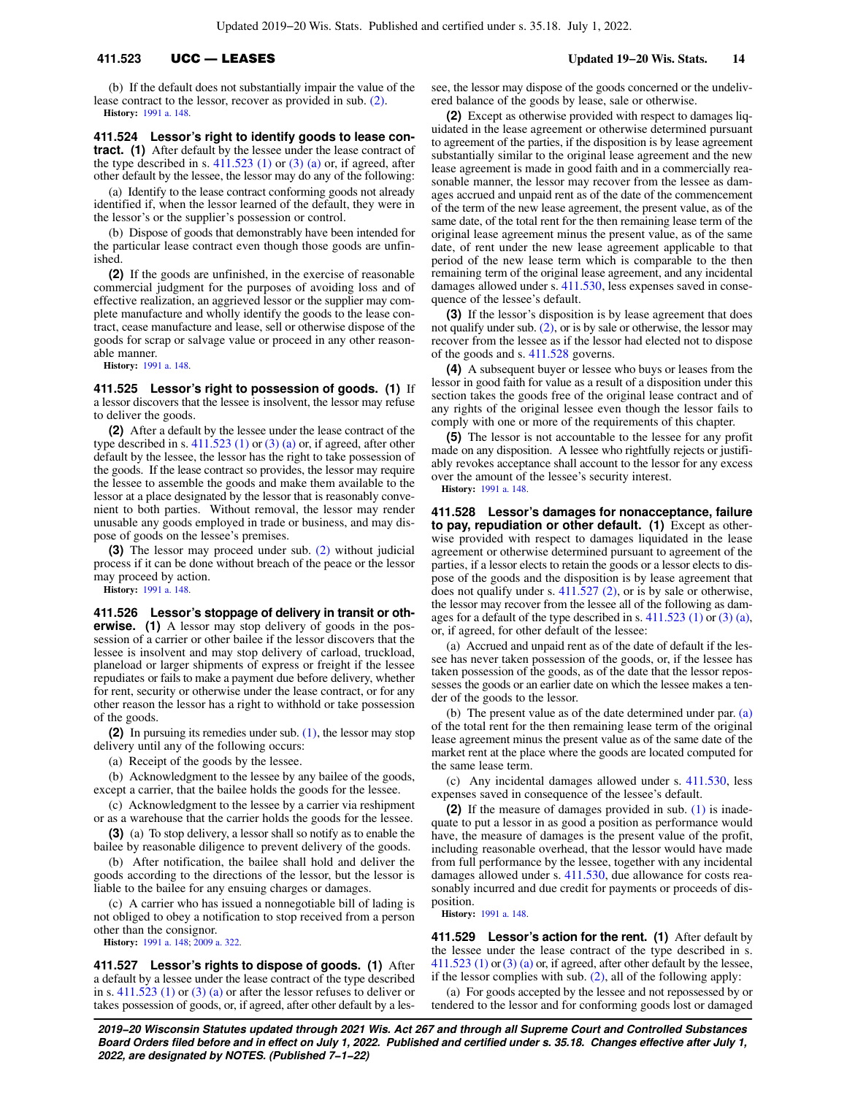## **411.523** UCC — LEASES **Updated 19−20 Wis. Stats. 14**

(b) If the default does not substantially impair the value of the lease contract to the lessor, recover as provided in sub. [\(2\)](https://docs.legis.wisconsin.gov/document/statutes/411.523(2)). **History:** [1991 a. 148](https://docs.legis.wisconsin.gov/document/acts/1991/148).

**411.524 Lessor's right to identify goods to lease contract. (1)** After default by the lessee under the lease contract of the type described in s.  $411.523$  (1) or [\(3\) \(a\)](https://docs.legis.wisconsin.gov/document/statutes/411.523(3)(a)) or, if agreed, after other default by the lessee, the lessor may do any of the following:

(a) Identify to the lease contract conforming goods not already identified if, when the lessor learned of the default, they were in the lessor's or the supplier's possession or control.

(b) Dispose of goods that demonstrably have been intended for the particular lease contract even though those goods are unfinished.

**(2)** If the goods are unfinished, in the exercise of reasonable commercial judgment for the purposes of avoiding loss and of effective realization, an aggrieved lessor or the supplier may complete manufacture and wholly identify the goods to the lease contract, cease manufacture and lease, sell or otherwise dispose of the goods for scrap or salvage value or proceed in any other reasonable manner.

**History:** [1991 a. 148](https://docs.legis.wisconsin.gov/document/acts/1991/148).

**411.525 Lessor's right to possession of goods. (1)** If a lessor discovers that the lessee is insolvent, the lessor may refuse to deliver the goods.

**(2)** After a default by the lessee under the lease contract of the type described in s.  $411.523$  (1) or [\(3\) \(a\)](https://docs.legis.wisconsin.gov/document/statutes/411.523(3)(a)) or, if agreed, after other default by the lessee, the lessor has the right to take possession of the goods. If the lease contract so provides, the lessor may require the lessee to assemble the goods and make them available to the lessor at a place designated by the lessor that is reasonably convenient to both parties. Without removal, the lessor may render unusable any goods employed in trade or business, and may dispose of goods on the lessee's premises.

**(3)** The lessor may proceed under sub. [\(2\)](https://docs.legis.wisconsin.gov/document/statutes/411.525(2)) without judicial process if it can be done without breach of the peace or the lessor may proceed by action.

**History:** [1991 a. 148](https://docs.legis.wisconsin.gov/document/acts/1991/148).

**411.526 Lessor's stoppage of delivery in transit or otherwise.** (1) A lessor may stop delivery of goods in the possession of a carrier or other bailee if the lessor discovers that the lessee is insolvent and may stop delivery of carload, truckload, planeload or larger shipments of express or freight if the lessee repudiates or fails to make a payment due before delivery, whether for rent, security or otherwise under the lease contract, or for any other reason the lessor has a right to withhold or take possession of the goods.

**(2)** In pursuing its remedies under sub. [\(1\)](https://docs.legis.wisconsin.gov/document/statutes/411.526(1)), the lessor may stop delivery until any of the following occurs:

(a) Receipt of the goods by the lessee.

(b) Acknowledgment to the lessee by any bailee of the goods, except a carrier, that the bailee holds the goods for the lessee.

(c) Acknowledgment to the lessee by a carrier via reshipment or as a warehouse that the carrier holds the goods for the lessee.

**(3)** (a) To stop delivery, a lessor shall so notify as to enable the bailee by reasonable diligence to prevent delivery of the goods.

(b) After notification, the bailee shall hold and deliver the goods according to the directions of the lessor, but the lessor is liable to the bailee for any ensuing charges or damages.

(c) A carrier who has issued a nonnegotiable bill of lading is not obliged to obey a notification to stop received from a person other than the consignor.

**History:** [1991 a. 148](https://docs.legis.wisconsin.gov/document/acts/1991/148); [2009 a. 322](https://docs.legis.wisconsin.gov/document/acts/2009/322).

**411.527 Lessor's rights to dispose of goods. (1)** After a default by a lessee under the lease contract of the type described in s.  $411.523$  (1) or [\(3\) \(a\)](https://docs.legis.wisconsin.gov/document/statutes/411.523(3)(a)) or after the lessor refuses to deliver or takes possession of goods, or, if agreed, after other default by a lessee, the lessor may dispose of the goods concerned or the undelivered balance of the goods by lease, sale or otherwise.

**(2)** Except as otherwise provided with respect to damages liquidated in the lease agreement or otherwise determined pursuant to agreement of the parties, if the disposition is by lease agreement substantially similar to the original lease agreement and the new lease agreement is made in good faith and in a commercially reasonable manner, the lessor may recover from the lessee as damages accrued and unpaid rent as of the date of the commencement of the term of the new lease agreement, the present value, as of the same date, of the total rent for the then remaining lease term of the original lease agreement minus the present value, as of the same date, of rent under the new lease agreement applicable to that period of the new lease term which is comparable to the then remaining term of the original lease agreement, and any incidental damages allowed under s. [411.530](https://docs.legis.wisconsin.gov/document/statutes/411.530), less expenses saved in consequence of the lessee's default.

**(3)** If the lessor's disposition is by lease agreement that does not qualify under sub.  $(2)$ , or is by sale or otherwise, the lessor may recover from the lessee as if the lessor had elected not to dispose of the goods and s. [411.528](https://docs.legis.wisconsin.gov/document/statutes/411.528) governs.

**(4)** A subsequent buyer or lessee who buys or leases from the lessor in good faith for value as a result of a disposition under this section takes the goods free of the original lease contract and of any rights of the original lessee even though the lessor fails to comply with one or more of the requirements of this chapter.

**(5)** The lessor is not accountable to the lessee for any profit made on any disposition. A lessee who rightfully rejects or justifiably revokes acceptance shall account to the lessor for any excess over the amount of the lessee's security interest.

**History:** [1991 a. 148.](https://docs.legis.wisconsin.gov/document/acts/1991/148)

**411.528 Lessor's damages for nonacceptance, failure to pay, repudiation or other default. (1)** Except as otherwise provided with respect to damages liquidated in the lease agreement or otherwise determined pursuant to agreement of the parties, if a lessor elects to retain the goods or a lessor elects to dispose of the goods and the disposition is by lease agreement that does not qualify under s.  $411.527$  (2), or is by sale or otherwise, the lessor may recover from the lessee all of the following as damages for a default of the type described in s.  $411.523$  (1) or [\(3\) \(a\),](https://docs.legis.wisconsin.gov/document/statutes/411.523(3)(a)) or, if agreed, for other default of the lessee:

(a) Accrued and unpaid rent as of the date of default if the lessee has never taken possession of the goods, or, if the lessee has taken possession of the goods, as of the date that the lessor repossesses the goods or an earlier date on which the lessee makes a tender of the goods to the lessor.

(b) The present value as of the date determined under par. [\(a\)](https://docs.legis.wisconsin.gov/document/statutes/411.528(1)(a)) of the total rent for the then remaining lease term of the original lease agreement minus the present value as of the same date of the market rent at the place where the goods are located computed for the same lease term.

(c) Any incidental damages allowed under s. [411.530](https://docs.legis.wisconsin.gov/document/statutes/411.530), less expenses saved in consequence of the lessee's default.

**(2)** If the measure of damages provided in sub. [\(1\)](https://docs.legis.wisconsin.gov/document/statutes/411.528(1)) is inadequate to put a lessor in as good a position as performance would have, the measure of damages is the present value of the profit, including reasonable overhead, that the lessor would have made from full performance by the lessee, together with any incidental damages allowed under s. [411.530](https://docs.legis.wisconsin.gov/document/statutes/411.530), due allowance for costs reasonably incurred and due credit for payments or proceeds of disposition.

**History:** [1991 a. 148.](https://docs.legis.wisconsin.gov/document/acts/1991/148)

**411.529 Lessor's action for the rent. (1)** After default by the lessee under the lease contract of the type described in s.  $411.523$  (1) or [\(3\) \(a\)](https://docs.legis.wisconsin.gov/document/statutes/411.523(3)(a)) or, if agreed, after other default by the lessee, if the lessor complies with sub.  $(2)$ , all of the following apply:

(a) For goods accepted by the lessee and not repossessed by or tendered to the lessor and for conforming goods lost or damaged